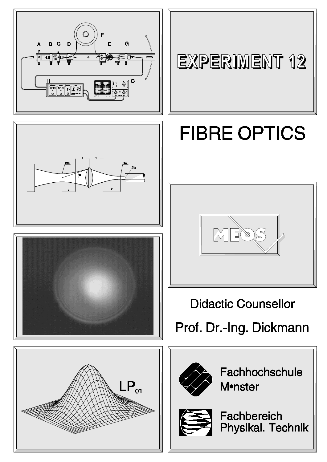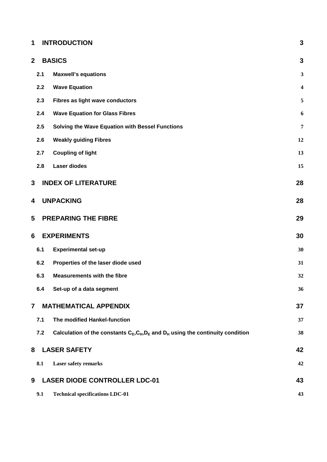# **1 INTRODUCTION 3**

| $\mathbf{2}$   |     | <b>BASICS</b>                                                                         | 3                       |
|----------------|-----|---------------------------------------------------------------------------------------|-------------------------|
|                | 2.1 | <b>Maxwell's equations</b>                                                            | 3                       |
|                | 2.2 | <b>Wave Equation</b>                                                                  | $\overline{\mathbf{4}}$ |
|                | 2.3 | Fibres as light wave conductors                                                       | 5                       |
|                | 2.4 | <b>Wave Equation for Glass Fibres</b>                                                 | 6                       |
|                | 2.5 | Solving the Wave Equation with Bessel Functions                                       | 7                       |
|                | 2.6 | <b>Weakly guiding Fibres</b>                                                          | 12                      |
|                | 2.7 | <b>Coupling of light</b>                                                              | 13                      |
|                | 2.8 | <b>Laser diodes</b>                                                                   | 15                      |
| 3              |     | <b>INDEX OF LITERATURE</b>                                                            | 28                      |
| 4              |     | <b>UNPACKING</b>                                                                      | 28                      |
| 5              |     | <b>PREPARING THE FIBRE</b>                                                            | 29                      |
| 6              |     | <b>EXPERIMENTS</b>                                                                    | 30                      |
|                | 6.1 | <b>Experimental set-up</b>                                                            | 30                      |
|                | 6.2 | Properties of the laser diode used                                                    | 31                      |
|                | 6.3 | <b>Measurements with the fibre</b>                                                    | 32                      |
|                | 6.4 | Set-up of a data segment                                                              | 36                      |
| $\overline{7}$ |     | <b>MATHEMATICAL APPENDIX</b>                                                          | 37                      |
|                | 7.1 | The modified Hankel-function                                                          | 37                      |
|                | 7.2 | Calculation of the constants $C_E, C_H, D_E$ and $D_H$ using the continuity condition | 38                      |
| 8              |     | <b>LASER SAFETY</b>                                                                   | 42                      |
|                | 8.1 | <b>Laser safety remarks</b>                                                           | 42                      |
| 9              |     | <b>LASER DIODE CONTROLLER LDC-01</b>                                                  | 43                      |
|                | 9.1 | <b>Technical specifications LDC-01</b>                                                | 43                      |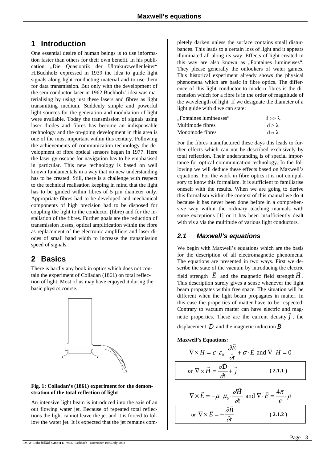## **1 Introduction**

One essential desire of human beings is to use information faster than others for their own benefit. In his publication "Die Quasioptik der Ultrakurzwellenleiter" H.Buchholz expressed in 1939 the idea to guide light signals along light conducting material and to use them for data transmission. But only with the development of the semiconductor laser in 1962 Buchholz' idea was materialising by using just these lasers and fibres as light transmitting medium. Suddenly simple and powerful light sources for the generation and modulation of light were available. Today the transmission of signals using laser diodes and fibres has become an indispensable technology and the on-going development in this area is one of the most important within this century. Following the achievements of communication technology the development of fibre optical sensors began in 1977. Here the laser gyroscope for navigation has to be emphasised in particular. This new technology is based on well known fundamentals in a way that no new understanding has to be created. Still, there is a challenge with respect to the technical realisation keeping in mind that the light has to be guided within fibres of 5  $\mu$ m diameter only. Appropriate fibres had to be developed and mechanical components of high precision had to be disposed for coupling the light to the conductor (fibre) and for the installation of the fibres. Further goals are the reduction of transmission losses, optical amplification within the fibre as replacement of the electronic amplifiers and laser diodes of small band width to increase the transmission speed of signals.

# **2 Basics**

There is hardly any book in optics which does not contain the experiment of Colladan (1861) on total reflection of light. Most of us may have enjoyed it during the basic physics course.



#### **Fig. 1: Colladan's (1861) experiment for the demonstration of the total reflection of light**

An intensive light beam is introduced into the axis of an out flowing water jet. Because of repeated total reflections the light cannot leave the jet and it is forced to follow the water jet. It is expected that the jet remains com-

pletely darken unless the surface contains small disturbances. This leads to a certain loss of light and it appears illuminated all along its way. Effects of light created in this way are also known as "Fontaines lumineuses". They please generally the onlookers of water games. This historical experiment already shows the physical phenomena which are basic in fibre optics. The difference of this light conductor to modern fibres is the dimension which for a fibre is in the order of magnitude of the wavelength of light. If we designate the diameter of a light guide with d we can state:

| "Fontaines lumineuses" | $d >> \lambda$      |
|------------------------|---------------------|
| Multimode fibres       | $d > \lambda$       |
| Monomode fibres        | $d \approx \lambda$ |

For the fibres manufactured these days this leads to further effects which can not be described exclusively by total reflection. Their understanding is of special importance for optical communication technology. In the following we will deduce these effects based on Maxwell's equations. For the work in fibre optics it is not compulsory to know this formalism. It is sufficient to familiarise oneself with the results. When we are going to derive this formalism within the context of this manual we do it because it has never been done before in a comprehensive way within the ordinary teaching manuals with some exceptions [1] or it has been insufficiently dealt with vis a vis the multitude of various light conductors.

## *2.1 Maxwell's equations*

We begin with Maxwell's equations which are the basis for the description of all electromagnetic phenomena. The equations are presented in two ways. First we describe the state of the vacuum by introducing the electric scribe the state of the vacuum by introducing the electric<br>field strength  $\vec{E}$  and the magnetic field strength  $\vec{H}$ . This description surely gives a sense whenever the light beam propagates within free space. The situation will be different when the light beam propagates in matter. In this case the properties of matter have to be respected. Contrary to vacuum matter can have electric and mag netic properties. These are the current density  $\overrightarrow{j}$ , the displacement  $\vec{D}$  and the magnetic induction  $\vec{B}$ .

**Maxwell's Equations:**

$$
\nabla \times \vec{H} = \varepsilon \cdot \varepsilon_0 \cdot \frac{\partial \vec{E}}{\partial t} + \sigma \cdot \vec{E} \text{ and } \nabla \cdot \vec{H} = 0
$$
  
or 
$$
\nabla \times \vec{H} = \frac{\partial \vec{D}}{\partial t} + \vec{j}
$$
 (2.1.1)

<span id="page-2-1"></span><span id="page-2-0"></span>
$$
\nabla \times \vec{E} = -\mu \cdot \mu_0 \cdot \frac{\partial \vec{H}}{\partial t} \text{ and } \nabla \cdot \vec{E} = \frac{4\pi}{\varepsilon} \cdot \rho
$$
  
or 
$$
\nabla \times \vec{E} = -\frac{\partial \vec{B}}{\partial t}
$$
 (2.1.2)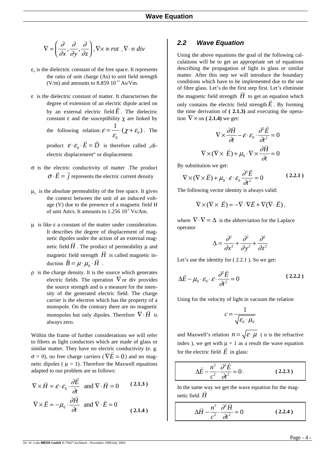$$
\nabla = \left(\frac{\partial}{\partial x}, \frac{\partial}{\partial y}, \frac{\partial}{\partial z}\right), \nabla \times \equiv rot, \nabla \cdot \equiv div
$$

- $\varepsilon_0$  is the dielectric constant of the free space. It represents the ratio of unit charge (As) to unit field strength (V/m) and amounts to  $8.85910^{12}$  As/Vm.
- ε is the dielectric constant of matter. It characterises the degree of extension of an electric dipole acted on by an external electric field  $E$ . The dielectric constant  $\epsilon$  and the susceptibility  $\gamma$  are linked by

the following relation:  $\varepsilon = -\frac{\gamma}{c} (\chi + \varepsilon_0)$  $\boldsymbol{0}$  $\varepsilon = \frac{1}{\varepsilon_0} \cdot (\chi + \varepsilon_0)$ . The

product  $\mathcal{E} \cdot \mathcal{E}_0 \cdot \vec{E} = \vec{D}$  is therefore called "dielectric displacement" or displacement.

- σ is the electric conductivity of matter .The product  $\sigma \cdot E = j$  $\vec{r}$   $\vec{r}$ represents the electric current density
- $\mu_{0}$  is the absolute permeability of the free space. It gives the context between the unit of an induced voltage (V) due to the presence of a magnetic field H of unit Am/s. It amounts to  $1.256\,10^6\,\mathrm{Vs/Am.}$
- $μ$  is like  $ε$  a constant of the matter under consideration. It describes the degree of displacement of magnetic dipoles under the action of an external mag netic field  $H$ . The product of permeability  $\mu$  and magnetic field strength  $\vec{H}$  is called magnetic inmagnetic field strength 1<br>duction  $\vec{B} = \mu \cdot \mu_0 \cdot \vec{H}$ .
- ρ is the charge density. It is the source which generates electric fields. The operation  $\nabla$  or div provides the source strength and is a measure for the intensity of the generated electric field. The charge carrier is the electron which has the property of a monopole. On the contrary there are no magnetic monopoles but only dipoles. Therefore  $\nabla \cdot \vec{H}$  is always zero.

Within the frame of further considerations we will refer to fibres as light conductors which are made of glass or similar matter. They have no electric conductivity (e. g.  $\sigma = 0$ ), no free charge carriers ( $\nabla E = 0$ ) and no magnetic dipoles ( $\mu = 1$ ). Therefore the Maxwell equations adapted to our problem are as follows:

$$
\nabla \times \vec{H} = \varepsilon \cdot \varepsilon_0 \cdot \frac{\partial \vec{E}}{\partial t} \text{ and } \nabla \cdot \vec{H} = 0 \qquad (2.1.3)
$$
  

$$
\nabla \times \vec{E} = -\mu_0 \cdot \frac{\partial \vec{H}}{\partial t} \text{ and } \nabla \cdot \vec{E} = 0 \qquad (2.1.4)
$$

### *2.2 Wave Equation*

Using the above equations the goal of the following calculations will be to get an appropriate set of equations describing the propagation of light in glass or similar matter. After this step we will introduce the boundary conditions which have to be implemented due to the use of fibre glass. Let's do the first step first. Let's eliminate the magnetic field strength  $\vec{H}$  to get an equation which only contains the electric field strength  $E$ . By forming the time derivation of **( 2.1.3)** and executing the opera-

$$
\nabla \times \frac{\partial \vec{H}}{\partial t} - \varepsilon \cdot \varepsilon_0 \cdot \frac{\partial^2 \vec{E}}{\partial t^2} = 0
$$

$$
\nabla \times (\nabla \times \vec{E}) + \mu_0 \cdot \nabla \times \frac{\partial \vec{H}}{\partial t} = 0
$$

By substitution we get:

tion  $\nabla \times$  on (2.1.4) we get:

$$
\nabla \times (\nabla \times \vec{E}) + \mu_0 \cdot \varepsilon \cdot \varepsilon_0 \frac{\partial^2 \vec{E}}{\partial t^2} = 0
$$
 (2.2.1)

The following vector identity is always valid:

<span id="page-3-0"></span>
$$
\nabla \times (\nabla \times \vec{E}) = -\nabla \cdot \nabla \vec{E} + \nabla (\nabla \cdot \vec{E}),
$$

where  $\nabla \cdot \nabla = \Delta$  is the abbreviation for the Laplace operator

$$
\Delta = \frac{\partial^2}{\partial x^2} + \frac{\partial^2}{\partial y^2} + \frac{\partial^2}{\partial z^2}
$$

Let's use the identity for  $(2.2.1)$ . So we get:

$$
\Delta \vec{E} - \mu_0 \cdot \varepsilon_0 \cdot \varepsilon \cdot \frac{\partial^2 \vec{E}}{\partial t^2} = 0
$$
 (2.2.2)

Using for the velocity of light in vacuum the relation

$$
c = \frac{1}{\sqrt{\varepsilon_0 \cdot \mu_0}}
$$

and Maxwell's relation  $n = \sqrt{\varepsilon \cdot \mu}$  ( n is the refractive index ), we get with  $\mu = 1$  as a result the wave equation for the electric field  $\vec{E}$  in glass:

$$
\Delta \vec{E} - \frac{n^2}{c^2} \cdot \frac{\partial^2 \vec{E}}{\partial t^2} = 0.
$$
 (2.2.3)

In the same way we get the wave equation for the magnetic field  $\vec{H}$ 

$$
\Delta \vec{H} - \frac{n^2}{c^2} \cdot \frac{\partial^2 \vec{H}}{\partial t^2} = 0
$$
 (2.2.4)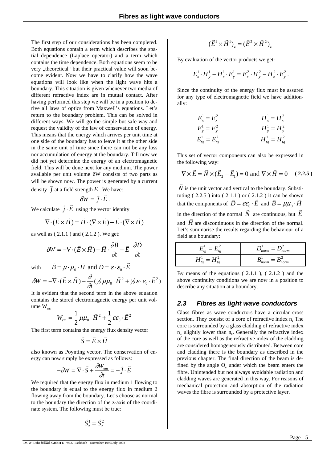The first step of our considerations has been completed. Both equations contain a term which describes the spatial dependence (Laplace operator) and a term which contains the time dependence. Both equations seem to be very "theoretical" but their practical value will soon become evident. Now we have to clarify how the wave equations will look like when the light wave hits a boundary. This situation is given whenever two media of different refractive index are in mutual contact. After having performed this step we will be in a position to derive all laws of optics from Maxwell's equations. Let's return to the boundary problem. This can be solved in different ways. We will go the simple but safe way and request the validity of the law of conservation of energy. This means that the energy which arrives per unit time at one side of the boundary has to leave it at the other side in the same unit of time since there can not be any loss nor accumulation of energy at the boundary. Till now we did not yet determine the energy of an electromagnetic field. This will be done next for any medium. The power available per unit volume δW consists of two parts as will be shown now. The power is generated by a current density *j*  $\frac{11}{1}$ at a field strength  $E$  . We have:

$$
\delta W = \vec{j} \cdot \vec{E} \, .
$$

We calculate  $\vec{j} \cdot \vec{E}$  using the vector identity

$$
\nabla \cdot (\vec{E} \times \vec{H}) = \vec{H} \cdot (\nabla \times \vec{E}) - \vec{E} \cdot (\nabla \times \vec{H})
$$

as well as [\( 2.1.1](#page-2-0) ) and [\( 2.1.2](#page-2-1) ). We get:

$$
\delta W = -\nabla \cdot (\vec{E} \times \vec{H}) - \vec{H} \cdot \frac{\partial \vec{B}}{\partial t} - \vec{E} \cdot \frac{\partial \vec{D}}{\partial t}
$$

with  $\vec{B} = \mu \cdot \mu_0 \cdot \vec{H}$  and  $\vec{D} = \varepsilon \cdot \varepsilon_0 \cdot \vec{E}$ 

$$
\delta W = -\nabla \cdot (\vec{E} \times \vec{H}) - \frac{\partial}{\partial t} (\frac{1}{2} \mu \mu_0 \cdot \vec{H}^2 + \frac{1}{2} \varepsilon \cdot \varepsilon_0 \cdot \vec{E}^2)
$$

It is evident that the second term in the above equation contains the stored electromagnetic energy per unit volume  $W_{\text{em}}$ 

$$
W_{em} = \frac{1}{2} \mu \mu_0 \cdot \vec{H}^2 + \frac{1}{2} \varepsilon \varepsilon_0 \cdot \vec{E}^2
$$

The first term contains the energy flux density vector

$$
\vec{S} = \vec{E} \times \vec{H}
$$

also known as Poynting vector. The conservation of energy can now simply be expressed as follows:

$$
-\partial W = \nabla \cdot \vec{S} + \frac{\partial W_{em}}{\partial t} = -\vec{j} \cdot \vec{E}
$$

We required that the energy flux in medium 1 flowing to the boundary is equal to the energy flux in medium 2 flowing away from the boundary. Let's choose as normal to the boundary the direction of the z-axis of the coordinate system. The following must be true:

$$
\vec{S}_z^1 = \vec{S}_z^2
$$

$$
(\vec{E}^1 \times \vec{H}^1)_z = (\vec{E}^2 \times \vec{H}^2)_z
$$

By evaluation of the vector products we get:

$$
E_x^1 \cdot H_y^1 - H_x^1 \cdot E_y^1 = E_x^2 \cdot H_y^2 - H_x^2 \cdot E_y^2.
$$

Since the continuity of the energy flux must be assured for any type of electromagnetic field we have additionally:

$$
E_x^1 = E_x^2
$$
  
\n
$$
E_y^1 = E_y^2
$$
  
\n
$$
H_x^1 = H_x^2
$$
  
\n
$$
H_y^1 = H_y^2
$$
  
\n
$$
H_y^1 = H_y^2
$$
  
\n
$$
H_y^1 = H_y^2
$$

This set of vector components can also be expressed in the following way:

<span id="page-4-0"></span>
$$
\nabla \times \vec{E} = \vec{N} \times (\vec{E}_2 - \vec{E}_1) = 0 \text{ and } \nabla \times \vec{H} = 0 \quad (2.2.5)
$$

*N*  $\overline{a}$ is the unit vector and vertical to the boundary. Substituting  $(2.2.5)$  into  $(2.1.1)$  or  $(2.1.2)$  it can be shown that the components of  $\vec{D} = \varepsilon \varepsilon_0 \cdot \vec{E}$  and  $\vec{B} = \mu \mu_0 \cdot \vec{H}$ in the direction of the normal  $\overrightarrow{N}$  are continuous, but  $\overrightarrow{E}$ and *H* are discontinuous in the direction of the normal.  $\frac{1}{11}$ Let's summarise the results regarding the behaviour of a field at a boundary:

$$
E_{tg}^1 = E_{tg}^2
$$
  
\n
$$
H_{tg}^1 = H_{tg}^2
$$
  
\n
$$
B_{norm}^1 = B_{norm}^2
$$
  
\n
$$
B_{norm}^1 = B_{norm}^2
$$

By means of the equations [\( 2.1.1](#page-2-0) ), [\( 2.1.2](#page-2-1) ) and the above continuity conditions we are now in a position to describe any situation at a boundary.

#### *2.3 Fibres as light wave conductors*

Glass fibres as wave conductors have a circular cross section. They consist of a core of refractive index  $n_k$ . The core is surrounded by a glass cladding of refractive index  $n_m$  slightly lower than  $n_k$ . Generally the refractive index of the core as well as the refractive index of the cladding are considered homogeneously distributed. Between core and cladding there is the boundary as described in the previous chapter. The final direction of the beam is defined by the angle  $\Theta$ <sub>c</sub> under which the beam enters the fibre. Unintended but not always avoidable radiation and cladding waves are generated in this way. For reasons of mechanical protection and absorption of the radiation waves the fibre is surrounded by a protective layer.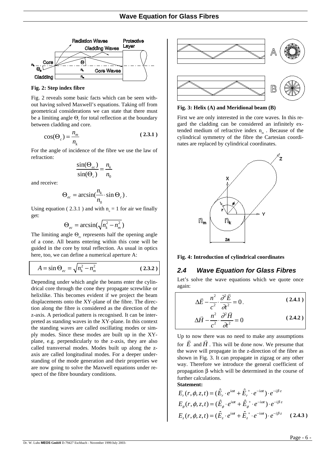

**Fig. 2: Step index fibre**

Fig. 2 reveals some basic facts which can be seen without having solved Maxwell's equations. Taking off from geometrical considerations we can state that there must be a limiting angle  $\Theta$  for total reflection at the boundary between cladding and core.

$$
\cos(\Theta_c) = \frac{n_m}{n_k} \tag{2.3.1}
$$

For the angle of incidence of the fibre we use the law of refraction:

<span id="page-5-0"></span>
$$
\frac{\sin(\Theta_{ec})}{\sin(\Theta_c)} = \frac{n_k}{n_0}
$$

and receive:

$$
\Theta_{ec} = \arcsin(\frac{n_k}{n_0} \cdot \sin \Theta_c).
$$

Using equation [\( 2.3.1](#page-5-0) ) and with  $n_0 = 1$  for air we finally get:

$$
\Theta_{ec} = \arcsin(\sqrt{n_k^2 - n_m^2})
$$

The limiting angle  $\Theta_{\text{ee}}$  represents half the opening angle of a cone. All beams entering within this cone will be guided in the core by total reflection. As usual in optics here, too, we can define a numerical aperture A:

$$
A = \sin \Theta_{ec} = \sqrt{n_k^2 - n_m^2}
$$
 (2.3.2)

Depending under which angle the beams enter the cylindrical core through the cone they propagate screwlike or helixlike. This becomes evident if we project the beam displacements onto the XY-plane of the fibre. The direction along the fibre is considered as the direction of the z-axis. A periodical pattern is recognised. It can be interpreted as standing waves in the XY-plane. In this context the standing waves are called oscillating modes or simply modes. Since these modes are built up in the XYplane, e.g. perpendicularly to the z-axis, they are also called transversal modes. Modes built up along the zaxis are called longitudinal modes. For a deeper understanding of the mode generation and their properties we are now going to solve the Maxwell equations under respect of the fibre boundary conditions.



**Fig. 3: Helix (A) and Meridional beam (B)**

First we are only interested in the core waves. In this regard the cladding can be considered an infinitely extended medium of refractive index  $n<sub>m</sub>$ . Because of the cylindrical symmetry of the fibre the Cartesian coordinates are replaced by cylindrical coordinates.



**Fig. 4: Introduction of cylindrical coordinates**

### *2.4 Wave Equation for Glass Fibres*

Let's solve the wave equations which we quote once again:

<span id="page-5-2"></span><span id="page-5-1"></span>
$$
\Delta \vec{E} - \frac{n^2}{c^2} \cdot \frac{\partial^2 \vec{E}}{\partial t^2} = 0.
$$
 (2.4.1)  

$$
\Delta \vec{H} - \frac{n^2}{c^2} \cdot \frac{\partial^2 \vec{H}}{\partial t^2} = 0
$$
 (2.4.2)

Up to now there was no need to make any assumptions For  $\vec{E}$  and  $\vec{H}$ . This will be done now. We presume that the wave will propagate in the z-direction of the fibre as shown in Fig. 3. It can propagate in zigzag or any other way. Therefore we introduce the general coefficient of propagation β which will be determined in the course of further calculations. **Stat** 

$$
E_r(r, \phi, z, t) = (\hat{E}_r \cdot e^{i\omega t} + \hat{E}_r^* \cdot e^{-i\omega t}) \cdot e^{-i\beta z}
$$
  
\n
$$
E_\phi(r, \phi, z, t) = (\hat{E}_\phi \cdot e^{i\omega t} + \hat{E}_\phi^* \cdot e^{-i\omega t}) \cdot e^{-i\beta z}
$$
  
\n
$$
E_z(r, \phi, z, t) = (\hat{E}_z \cdot e^{i\omega t} + \hat{E}_z^* \cdot e^{-i\omega t}) \cdot e^{-i\beta z}
$$
 (2.4.3)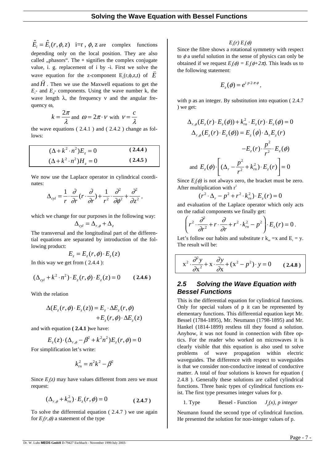$\hat{E}_i = \hat{E}_i(r, \phi, z)$  **i**=**r**,  $\phi$ , **z** are complex functions depending only on the local position. They are also called "phasors". The ∗ signifies the complex conjugate value, i. g. replacement of i by -i. First we solve the wave equation for the z-component  $E_z(r, \phi, z, t)$  of *E* and  $H$  . Then we use the Maxwell equations to get the  $E_r$  and  $E_{\phi}$  components. Using the wave number k, the wave length  $\lambda$ , the frequency v and the angular frequency ω,

$$
k = \frac{2\pi}{\lambda}
$$
 and  $\omega = 2\pi \cdot v$  with  $v = \frac{c}{\lambda}$ 

the wave equations [\( 2.4.1](#page-5-1) ) and [\( 2.4.2](#page-5-2) ) change as follows:

$$
(\Delta + k^2 \cdot n^2)E_z = 0
$$
 (2.4.4)  

$$
(\Delta + k^2 \cdot n^2)H_z = 0
$$
 (2.4.5)

We now use the Laplace operator in cylindrical coordinates:

$$
\Delta_{cyl} = \frac{1}{r} \cdot \frac{\partial}{\partial r} (r \cdot \frac{\partial}{\partial r}) + \frac{1}{r^2} \cdot \frac{\partial^2}{\partial \phi^2} + \frac{\partial^2}{\partial z^2},
$$

which we change for our purposes in the following way:

$$
\Delta_{cyl} = \Delta_{r,\phi} + \Delta_z
$$

The transversal and the longitudinal part of the differential equations are separated by introduction of the following product:

$$
E_z = E_z(r, \phi) \cdot E_z(z)
$$

In this way we get from [\( 2.4.4](#page-6-0) ):

$$
(\Delta_{cyl} + k^2 \cdot n^2) \cdot E_z(r, \phi) \cdot E_z(z) = 0 \qquad (2.4.6)
$$

With the relation

$$
\Delta(E_z(r,\phi) \cdot E_z(z)) = E_z \cdot \Delta E_z(r,\phi) \n+ E_z(r,\phi) \cdot \Delta E_z(z)
$$

and with equation **[\( 2.4.1](#page-5-1) )**we have:

$$
E_z(z) \cdot (\Delta_{r,\phi} - \beta^2 + k^2 n^2) E_z(r,\phi) = 0
$$

For simplification let's write:

$$
k_m^2 = n^2k^2 - \beta^2
$$

Since  $E_z(z)$  may have values different from zero we must request:

$$
(\Delta_{r,\phi} + k_m^2) \cdot E_z(r,\phi) = 0 \tag{2.4.7}
$$

To solve the differential equation [\( 2.4.7](#page-6-1) ) we use again for  $E_z(r, \phi)$  a statement of the type

### $E_z(r) E_z(\phi)$

Since the fibre shows a rotational symmetry with respect to  $\phi$  a useful solution in the sense of physics can only be obtained if we request  $E_z(\phi) = E_z(\phi + 2\pi)$ . This leads us to the following statement:

$$
E_z(\phi) = e^{i\cdot p\cdot 2\cdot \pi\cdot \phi},
$$

with p as an integer. By substitution into equation [\( 2.4.7](#page-6-1) [\)](#page-6-1) we get:

$$
\Delta_{r,\phi}(E_z(r) \cdot E_z(\phi)) + k_m^2 \cdot E_z(r) \cdot E_z(\phi) = 0
$$
  

$$
\Delta_{r,\phi}(E_z(r) \cdot E_z(\phi)) = E_z(\phi) \cdot \Delta_r E_z(r)
$$
  

$$
-E_z(r) \cdot \frac{p^2}{r^2} \cdot E_z(\phi)
$$
  
and 
$$
E_z(\phi) \cdot \left[ (\Delta_r - \frac{p^2}{r^2} + k_m^2) \cdot E_z(r) \right] = 0
$$

<span id="page-6-0"></span>Since  $E_z(\phi)$  is not always zero, the bracket must be zero. After multiplication with  $r^2$ 

$$
(r^{2} \cdot \Delta_{r} - p^{2} + r^{2} \cdot k_{m}^{2}) \cdot E_{z}(r) = 0
$$

and evaluation of the Laplace operator which only acts on the radial components we finally get:

$$
\left(r^2\cdot\frac{\partial^2}{\partial r^2}+r\cdot\frac{\partial}{\partial r}+r^2\cdot k_m^2-p^2\right)\cdot E_z(r)=0.
$$

Let's follow our habits and substitute r  $k_m = x$  and  $E_r = y$ . The result will be:

<span id="page-6-2"></span>
$$
x^{2} \cdot \frac{\partial^{2} y}{\partial x^{2}} + x \cdot \frac{\partial y}{\partial x} + (x^{2} - p^{2}) \cdot y = 0 \quad (2.4.8)
$$

## *2.5 Solving the Wave Equation with Bessel Functions*

This is the differential equation for cylindrical functions. Only for special values of p it can be represented by elementary functions. This differential equation kept Mr. Bessel (1784-1895), Mr. Neumann (1798-1895) and Mr. Hankel (1814-1899) restless till they found a solution. Anyhow, it was not found in connection with fibre optics. For the reader who worked on microwaves it is clearly visible that this equation is also used to solve problems of wave propagation within electric waveguides. The difference with respect to waveguides is that we consider non-conductive instead of conductive matter. A total of four solutions is known for equation [\(](#page-6-2)  [2.4.8](#page-6-2) ). Generally these solutions are called cylindrical functions. Three basic types of cylindrical functions exist. The first type presumes integer values for p.

1. Type Bessel - Function  $J_n(x)$ , p integer

<span id="page-6-1"></span>Neumann found the second type of cylindrical function. He presented the solution for non-integer values of p.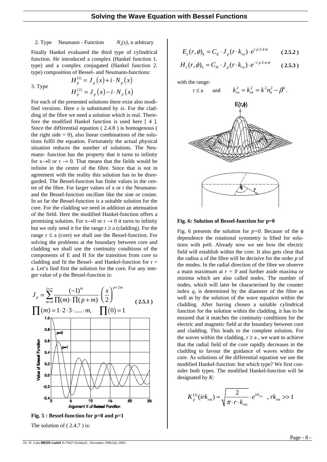2. Type Neumann - Function  $N_n(x)$ , n arbitrary

Finally Hankel evaluated the third type of cylindrical function. He introduced a complex (Hankel function 1. type) and a complex conjugated (Hankel function 2. type) composition of Bessel- and Neumann-functions:

3. Type

$$
H_p^{(1)} = J_p(x) + i \cdot N_p(x)
$$
  

$$
H_p^{(2)} = J_p(x) - i \cdot N_p(x)
$$

For each of the presented solutions there exist also modified versions. Here *x* is substituted by *ix*. For the cladding of the fibre we need a solution which is real. Therefore the modified Hankel function is used here [ 4 ]. Since the differential equation [\( 2.4.8](#page-6-2) ) is homogenous ( the right side  $= 0$ ), also linear combinations of the solutions fulfil the equation. Fortunately the actual physical situation reduces the number of solutions. The Neumann- function has the property that it turns to infinity for  $x\rightarrow 0$  or  $r\rightarrow 0$ . That means that the fields would be infinite in the centre of the fibre. Since that is not in agreement with the reality this solution has to be disregarded. The Bessel-function has finite values in the centre of the fibre. For larger values of x or r the Neumannand the Bessel-function oscillate like the sine or cosine. In so far the Bessel-function is a suitable solution for the core. For the cladding we need in addition an attenuation of the field. Here the modified Hankel-function offers a promising solution. For  $x \rightarrow 0$  or  $r \rightarrow 0$  it turns to infinity but we only need it for the range  $r \ge a$  (cladding). For the range  $r \le a$  (core) we shall use the Bessel-function. For solving the problems at the boundary between core and cladding we shall use the continuity conditions of the components of E and H for the transition from core to cladding and fit the Bessel- and Hankel-function for  $r =$ a. Let's find first the solution for the core. For any integer value of p the Bessel-function is:





The solution of  $(2.4.7)$  is:

$$
E_z(r,\phi)_k = C_E \cdot J_p(r \cdot k_m) \cdot e^{i p \cdot 2 \cdot \pi \phi} \qquad (2.5.2)
$$

$$
H_z(r,\phi)_k = C_H \cdot J_p(r \cdot k_m) \cdot e^{-i \cdot p \cdot 2\pi \phi} \qquad (2.5.3)
$$

with the range:



**Fig. 6: Solution of Bessel-function for p=0**

Fig. 6 presents the solution for  $p=0$ . Because of the  $\phi$ dependence the rotational symmetry is lifted for solutions with p≠0. Already now we see how the electric field will establish within the core. It also gets clear that the radius a of the fibre will be decisive for the order *p* of the modes. In the radial direction of the fibre we observe a main maximum at *r = 0* and further aside maxima or minima which are also called nodes. The number of nodes, which will later be characterised by the counter index *q*, is determined by the diameter of the fibre as well as by the solution of the wave equation within the cladding. After having chosen a suitable cylindrical function for the solution within the cladding, it has to be ensured that it matches the continuity conditions for the electric and magnetic field at the boundary between core and cladding. This leads to the complete solution. For the waves within the cladding,  $r \ge a$ , we want to achieve that the radial field of the core rapidly decreases in the cladding to favour the guidance of waves within the core. As solutions of the differential equation we use the modified Hankel-function: but which type? We first consider both types. The modified Hankel-function will be designated by *K:*

$$
K_p^{(1)}(irk_m) \approx \sqrt{\frac{2}{\pi \cdot r \cdot k_m}} \cdot e^{irk_m} \quad , \, rk_m \gg 1
$$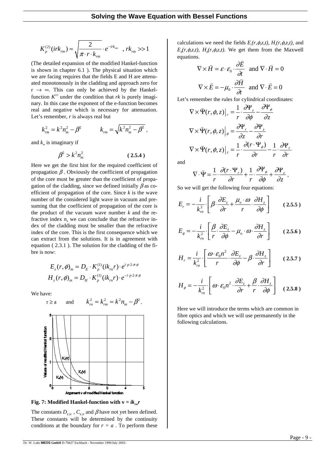$$
K_p^{(2)}(irk_m) \approx \sqrt{\frac{2}{\pi \cdot r \cdot k_m}} \cdot e^{-irk_m}
$$
,  $rk_m \gg 1$ 

(The detailed expansion of the modified Hankel-function is shown in chapter 6.1 ). The physical situation which we are facing requires that the fields E and H are attenuated monotonously in the cladding and approach zero for  $r \rightarrow \infty$ . This can only be achieved by the Hankelfunction  $K^{(1)}$  under the condition that *rk* is purely imaginary. In this case the exponent of the e-function becomes real and negative which is necessary for attenuation. Let's remember, *r* is always real but

$$
k_m^2 = k^2 n_m^2 - \beta^2 \qquad k_{rm} = \sqrt{k^2 n_m^2 - \beta^2} \ ,
$$

and  $k_m$  is imaginary if

$$
\beta^2 > k^2 n_m^2 \tag{2.5.4}
$$

Here we get the first hint for the required coefficient of propagation  $\beta$ . Obviously the coefficient of propagation of the core must be greater than the coefficient of propagation of the cladding, since we defined initially  $\beta$  as coefficient of propagation of the core. Since *k* is the wave number of the considered light wave in vacuum and presuming that the coefficient of propagation of the core is the product of the vacuum wave number  $k$  and the refractive index  $n_k$  we can conclude that the refractive index of the cladding must be smaller than the refractive index of the core. This is the first consequence which we can extract from the solutions. It is in agreement with equation [\( 2.3.1](#page-5-0) ). The solution for the cladding of the fibre is now:

$$
E_z(r, \phi)_m = D_E \cdot K_p^{(1)}(ik_m r) \cdot e^{i p \cdot 2 \cdot \pi \phi}
$$
  

$$
H_z(r, \phi)_m = D_H \cdot K_p^{(1)}(ik_m r) \cdot e^{-i p \cdot 2 \cdot \pi \phi}
$$

We have:



**Fig. 7: Modified Hankel-function with**  $v = ik_{\text{max}}r$ 

The constants  $D_{E,H}$ ,  $C_{E,H}$  and  $\beta$  have not yet been defined. These constants will be determined by the continuity conditions at the boundary for  $r = a$ . To perform these

calculations we need the fields  $E_r(r, \phi, z, t)$ ,  $H_r(r, \phi, z, t)$ , and  $E_{\phi}(r, \phi, z, t)$ ,  $H_{\phi}(r, \phi, z, t)$ . We get them from the Maxwell equations.

s.  
\n
$$
\nabla \times \vec{H} = \varepsilon \cdot \varepsilon_0 \cdot \frac{\partial \vec{E}}{\partial t} \text{ and } \nabla \cdot \vec{H} = 0
$$
\n
$$
\nabla \times \vec{E} = -\mu_0 \cdot \frac{\partial \vec{H}}{\partial t} \text{ and } \nabla \cdot \vec{E} = 0
$$

Let's remember the rules for cylindrical coordinates:

$$
\nabla \times \vec{\Psi}(r, \phi, z)|_{r} = \frac{1}{r} \cdot \frac{\partial \Psi_{z}}{\partial \phi} - \frac{\partial \Psi_{\phi}}{\partial z}
$$

$$
\nabla \times \vec{\Psi}(r, \phi, z)|_{\phi} = \frac{\partial \Psi_{r}}{\partial z} - \frac{\partial \Psi_{z}}{\partial r}
$$

$$
\nabla \times \vec{\Psi}(r, \phi, z)|_{z} = \frac{1}{r} \cdot \frac{\partial (r \cdot \Psi_{\phi})}{\partial r} - \frac{1}{r} \cdot \frac{\partial \Psi_{r}}{\partial r}
$$

and

$$
\nabla \cdot \vec{\Psi} = \frac{1}{r} \cdot \frac{\partial (r \cdot \Psi_r)}{\partial r} + \frac{1}{r} \cdot \frac{\partial \Psi_{\phi}}{\partial \phi} + \frac{\partial \Psi_z}{\partial z},
$$

So we will get the following four equations:

$$
E_r = -\frac{i}{k_m^2} \left[ \beta \cdot \frac{\partial E_z}{\partial r} + \frac{\mu_o \cdot \omega}{r} \cdot \frac{\partial H_z}{\partial \phi} \right]
$$
 (2.5.5)

<span id="page-8-0"></span>
$$
E_{\phi} = -\frac{i}{k_m^2} \left[ \frac{\beta}{r} \cdot \frac{\partial E_z}{\partial \phi} - \mu_o \cdot \omega \cdot \frac{\partial H_z}{\partial r} \right]
$$
 (2.5.6)

<span id="page-8-1"></span>
$$
H_r = \frac{i}{k_m^2} \cdot \left[ \frac{\omega \cdot \varepsilon_0 n^2}{r} \cdot \frac{\partial E_z}{\partial \phi} - \beta \cdot \frac{\partial H_z}{\partial r} \right] \qquad (2.5.7)
$$

<span id="page-8-2"></span>
$$
H_{\phi} = -\frac{i}{k_m^2} \left[ \omega \cdot \varepsilon_0 n^2 \cdot \frac{\partial E_z}{\partial r} + \frac{\beta}{r} \cdot \frac{\partial H_z}{\partial \phi} \right] \quad (2.5.8)
$$

Here we will introduce the terms which are common in fibre optics and which we will use permanently in the following calculations.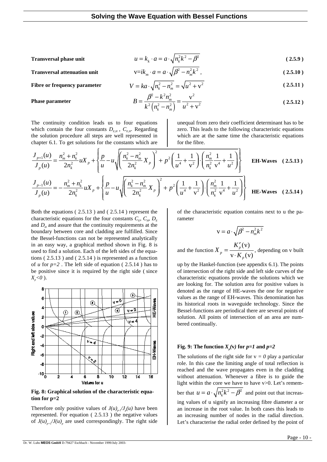#### **Transversal phase unit** 22 2

$$
u = k_k \cdot a = a \cdot \sqrt{n_k^2 k^2 - \beta^2}
$$
 (2.5.9)

**Transversal attenuation unit**  $v=ik_{m} \cdot a = a \cdot \sqrt{\beta^{2}}$ 

$$
\nabla = i k_m \cdot a = a \cdot \sqrt{p^2 - n_m^2} k^2,
$$
\n(2.5.10)\n
$$
V = k a \cdot \sqrt{n_k^2 - n_m^2} = \sqrt{u^2 + v^2}
$$
\n(2.5.11)

$$
B = \frac{\beta^2 - k^2 n_m^2}{k^2 \left(n_k^2 - n_m^2\right)} = \frac{v^2}{u^2 + v^2}
$$
 (2.5.12)

#### **Phase parameter**

The continuity condition leads us to four equations which contain the four constants  $D_{EH}$ ,  $C_{EH}$ . Regarding the solution procedure all steps are well represented in chapter 6.1. To get solutions for the constants which are

<span id="page-9-2"></span>unequal from zero their coefficient determinant has to be zero. This leads to the following characteristic equations which are at the same time the characteristic equations for the fibre.

$$
\frac{J_{p+1}(u)}{J_p(u)} = \frac{n_m^2 + n_k^2}{2n_k^2} u X_p + \left\{ \frac{p}{u} - u \sqrt{\left(\frac{n_k^2 - n_m^2}{2n_k^2} X_p\right)^2 + p^2 \left(\frac{1}{u^4} + \frac{1}{v^2}\right) \cdot \left(\frac{n_m^2}{n_k^2} \frac{1}{v^4} + \frac{1}{u^2}\right)} \right\}
$$
EH-Waves (2.5.13)  

$$
\frac{J_{p-1}(u)}{J_p(u)} = -\frac{n_m^2 + n_k^2}{2n_k^2} u X_p + \left\{ \frac{p}{u} - u \sqrt{\left(\frac{n_k^2 - n_m^2}{2n_k^2} X_p\right)^2 + p^2 \left(\frac{1}{u^4} + \frac{1}{v^2}\right) \cdot \left(\frac{n_m^2}{n_k^2} \frac{1}{v^4} + \frac{1}{u^2}\right)} \right\}
$$
HE-Waves (2.5.14)

Both the equations [\( 2.5.13](#page-9-0) ) and [\( 2.5.14](#page-9-1) ) represent the characteristic equations for the four constants  $C_F$ ,  $C_F$ ,  $D_E$ and  $D<sub>H</sub>$  and assure that the continuity requirements at the boundary between core and cladding are fulfilled. Since the Bessel-functions can not be represented analytically in an easy way, a graphical method shown in Fig. 8 is used to find a solution. Each of the left sides of the equations [\( 2.5.13](#page-9-0) ) and [\( 2.5.14](#page-9-1) ) is represented as a function of  $u$  for  $p=2$ . The left side of equation (2.5.14) has to be positive since it is required by the right side ( since *Xp <0* ).



**Fig. 8: Graphical solution of the characteristic equation for p=2**

Therefore only positive values of  $J(u)_{p-1}/J_p(u)$  have been represented. For equation [\( 2.5.13](#page-9-0) ) the negative values of  $J(u)_{p+1}/J(u)_{p}$  are used correspondingly. The right side of the characteristic equation contains next to u the parameter

<span id="page-9-1"></span><span id="page-9-0"></span>
$$
v = a \cdot \sqrt{\beta^2 - n_m^2 k^2}
$$

and the function (v)  $v \cdot K_{p}(v)$ *p p p K X*  $=\frac{K'_p(v)}{v \cdot K_p(v)}$ , depending on v built

up by the Hankel-function (see appendix 6.1). The points of intersection of the right side and left side curves of the characteristic equations provide the solutions which we are looking for. The solution area for positive values is denoted as the range of HE-waves the one for negative values as the range of EH-waves. This denomination has its historical roots in waveguide technology. Since the Bessel-functions are periodical there are several points of solution. All points of intersection of an area are numbered continually.

#### **Fig. 9:** The function  $X_p(v)$  for  $p=1$  and  $p=2$

The solutions of the right side for  $v = 0$  play a particular role. In this case the limiting angle of total reflection is reached and the wave propagates even in the cladding without attenuation. Whenever a fibre is to guide the light within the core we have to have v>0. Let's remember that  $u = a \cdot \sqrt{n_k^2 k^2 - \beta^2}$  and point out that increasing values of u signify an increasing fibre diameter a or an increase in the root value. In both cases this leads to an increasing number of nodes in the radial direction. Let's characterise the radial order defined by the point of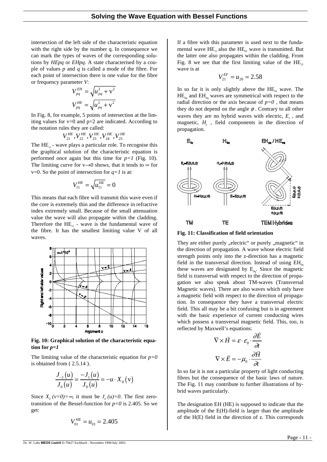intersection of the left side of the characteristic equation with the right side by the number q. In consequence we can mark the types of waves of the corresponding solutions by *HEpq* or *EHpq*. A state characterised by a couple of values *p* and *q* is called a mode of the fibre. For each point of intersection there is one value for the fibre or frequency parameter *V*:

$$
V_{pq}^{EH} = \sqrt{u_{pq}^2 + v^2}
$$
  

$$
V_{pq}^{HE} = \sqrt{u_{pq}^2 + v^2}
$$

In Fig. 8, for example, 5 points of intersection at the limiting values for  $v=0$  and  $p=2$  are indicated. According to the notation rules they are called:

$$
V_{21}^{HE}, V_{22}^{HE}, V_{23}^{HE}, V_{24}^{HE}, V_{25}^{HE}
$$

The  $HE_{11}$  - wave plays a particular role. To recognise this the graphical solution of the characteristic equation is performed once again but this time for  $p=1$  (Fig. 10). The limiting curve for  $v\rightarrow 0$  shows, that it tends to  $\infty$  for v=0. So the point of intersection for  $q=1$  is at:

$$
V_{11}^{HE}=\sqrt{u_{11}^{HE}}=0
$$

This means that each fibre will transmit this wave even if the core is extremely thin and the difference in refractive index extremely small. Because of the small attenuation value the wave will also propagate within the cladding. Therefore the  $HE_{11}$  - wave is the fundamental wave of the fibre. It has the smallest limiting value V of all waves.



**Fig. 10: Graphical solution of the characteristic equa**tion for  $p=1$ 

The limiting value of the characteristic equation for  $p=0$ is obtained from [\( 2.5.14](#page-9-1) ).

$$
\frac{J_{-1}(u)}{J_0(u)} = \frac{-J_1(u)}{J_0(u)} = -u \cdot X_0(v)
$$

Since  $X_0 (v=0) = \infty$ , it must be  $J_0 (u) = 0$ . The first zerotransition of the Bessel-function for  $p=0$  is 2.405. So we get:

$$
V_{01}^{HE} = u_{01} = 2.405
$$

If a fibre with this parameter is used next to the fundamental wave  $\text{HE}_{11}$  also the  $\text{HE}_{01}$  wave is transmitted. But the latter one also propagates within the cladding. From Fig. 8 we see that the first limiting value of the  $HE_{21}$ wave is at

$$
V_{21}^{EF} = u_{20} = 2.58
$$

In so far it is only slightly above the  $HE_{01}$  wave. The  $HE_{0q}$  and  $EH_{0q}$  waves are symmetrical with respect to the radial direction or the axis because of  $p=0$ , that means they do not depend on the angle  $\phi$ . Contrary to all other waves they are no hybrid waves with electric,  $E<sub>z</sub>$ , and magnetic, *H<sub>z</sub>*, field components in the direction of propagation.



**Fig. 11: Classification of field orientation**

They are either purely "electric" or purely "magnetic" in the direction of propagation. A wave whose electric field strength points only into the z-direction has a magnetic field in the transversal direction. Instead of using  $EH_{0q}$ these waves are designated by  $E_{0q}$ . Since the magnetic field is transversal with respect to the direction of propagation we also speak about TM-waves (Transversal Magnetic waves). There are also waves which only have a magnetic field with respect to the direction of propagation. In consequence they have a transversal electric field. This all may be a bit confusing but is in agreement with the basic experience of current conducting wires which possess a transversal magnetic field. This, too, is reflected by Maxwell's equations:<br> $\vec{E}$ 

$$
\nabla \times \vec{H} = \varepsilon \cdot \varepsilon_0 \cdot \frac{\partial E}{\partial t}
$$

$$
\nabla \times \vec{E} = -\mu_0 \cdot \frac{\partial \vec{H}}{\partial t}
$$

In so far it is not a particular property of light conducting fibres but the consequence of the basic laws of nature. The Fig. 11 may contribute to further illustrations of hybrid waves particularly.

The designation EH (HE) is supposed to indicate that the amplitude of the E(H)-field is larger than the amplitude of the H(E) field in the direction of z. This corresponds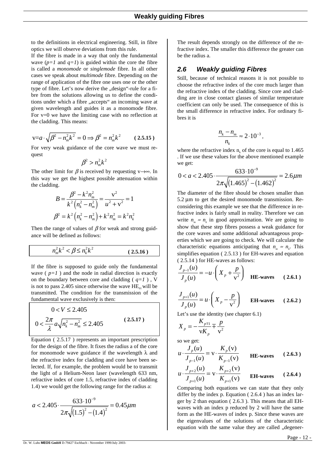to the definitions in electrical engineering. Still, in fibre optics we will observe deviations from this rule.

If the fibre is made in a way that only the fundamental wave  $(p=1 \text{ and } q=1)$  is guided within the core the fibre is called a *monomode* or *singlemode* fibre. In all other cases we speak about *multimode* fibre. Depending on the range of application of the fibre one uses one or the other type of fibre. Let's now derive the "design"-rule for a fibre from the solutions allowing us to define the conditions under which a fibre "accepts" an incoming wave at given wavelength and guides it as a monomode fibre. For  $v=0$  we have the limiting case with no reflection at the cladding. This means:

$$
v = a \cdot \sqrt{\beta^2 - n_m^2 k^2} = 0 \Longrightarrow \beta^2 = n_m^2 k^2 \quad (2.5.15)
$$

For very weak guidance of the core wave we must request

$$
\beta^2 > n_m^2 k^2
$$

The other limit for  $\beta$  is received by requesting v→∞. In this way we get the highest possible attenuation within the cladding.

$$
B = \frac{\beta^2 - k^2 n_m^2}{k^2 (n_k^2 - n_m^2)} = \frac{v^2}{u^2 + v^2} = 1
$$
  

$$
\beta^2 = k^2 (n_k^2 - n_m^2) + k^2 n_m^2 = k^2 n_k^2
$$

Then the range of values of  $\beta$  for weak and strong guidance will be defined as follows:

$$
n_m^2 k^2 < \beta \le n_k^2 k^2 \tag{2.5.16}
$$

If the fibre is supposed to guide only the fundamental wave  $(p=1)$  and the node in radial direction is exactly on the boundary between core and cladding  $(q=1)$ , V is not to pass 2.405 since otherwise the wave  $HE_{01}$  will be transmitted. The condition for the transmission of the fundamental wave exclusively is then:

$$
0 < V \le 2.405
$$
  
 
$$
0 < \frac{2\pi}{\lambda} a \sqrt{n_k^2 - n_m^2} \le 2.405
$$
 (2.5.17)

Equation [\( 2.5.17](#page-11-0) ) represents an important prescription for the design of the fibre. It fixes the radius a of the core for monomode wave guidance if the wavelength  $\lambda$  and the refractive index for cladding and core have been selected. If, for example, the problem would be to transmit the light of a Helium-Neon laser (wavelength 633 nm, refractive index of core 1.5, refractive index of cladding 1.4) we would get the following range for the radius a:

$$
a < 2.405 \cdot \frac{633 \cdot 10^{-9}}{2\pi \sqrt{(1.5)^2 - (1.4)^2}} = 0.45 \mu m
$$

The result depends strongly on the difference of the refractive index. The smaller this difference the greater can be the radius a.

### *2.6 Weakly guiding Fibres*

Still, because of technical reasons it is not possible to choose the refractive index of the core much larger than the refractive index of the cladding. Since core and cladding are in close contact glasses of similar temperature coefficient can only be used. The consequence of this is the small difference in refractive index. For ordinary fibres it is

$$
\frac{n_k - n_m}{n_k} \approx 2 \cdot 10^{-3},
$$

where the refractive index  $n_k$  of the core is equal to 1.465 . If we use these values for the above mentioned example we get:

$$
0 < a < 2.405 \cdot \frac{633 \cdot 10^{-9}}{2\pi \sqrt{(1.465)^2 - (1.462)^2}} = 2.6 \mu m
$$

The diameter of the fibre should be chosen smaller than 5.2 µm to get the desired monomode transmission. Reconsidering this example we see that the difference in refractive index is fairly small in reality. Therefore we can write  $n_m \approx n_k$  in good approximation. We are going to show that these step fibres possess a weak guidance for the core waves and some additional advantageous properties which we are going to check. We will calculate the characteristic equations anticipating that  $n_m \approx n_k$ . This simplifies equation [\( 2.5.13](#page-9-0) ) for EH-waves and equation [\( 2.5.14](#page-9-1) ) for HE-waves as follows:

$$
\frac{J_{p-1}(u)}{J_p(u)} = -u \cdot \left(X_p + \frac{p}{v^2}\right)
$$
 HE-waves (2.6.1)

$$
\frac{J_{p+1}(u)}{J_p(u)} = u \cdot \left(X_p - \frac{p}{v^2}\right) \qquad \text{EH-waves} \qquad (2.6.2)
$$

<span id="page-11-0"></span>Let's use the identity (see chapter 6.1)

$$
X_p = -\frac{K_{p+1}}{\nu K_p} \mp \frac{p}{\nu^2}
$$

so we get:

<span id="page-11-2"></span>
$$
u \cdot \frac{J_p(u)}{J_{p-1}(u)} = v \cdot \frac{K_p(v)}{K_{p-1}(v)}
$$
 HE-waves (2.6.3)

<span id="page-11-1"></span>
$$
u \cdot \frac{J_{p+2}(u)}{J_{p+1}(u)} = v \cdot \frac{K_{p+2}(v)}{K_{p+1}(v)}
$$
 EH-wave (2.6.4)

Comparing both equations we can state that they only differ by the index p. Equation [\( 2.6.4](#page-11-1) ) has an index larger by 2 than equation [\( 2.6.3](#page-11-2) ). This means that all EHwaves with an index p reduced by 2 will have the same form as the HE-waves of index p. Since these waves are the eigenvalues of the solutions of the characteristic equation with the same value they are called "degener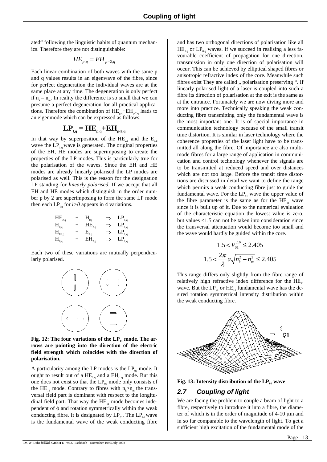ated" following the linguistic habits of quantum mechanics. Therefore they are not distinguishable:

$$
H\!E_{p,q} = EH_{p-2,q}
$$

Each linear combination of both waves with the same p and q values results in an eigenwave of the fibre, since for perfect degeneration the individual waves are at the same place at any time. The degeneration is only perfect if  $n_k = n_m$ . In reality the difference is so small that we can presume a perfect degeneration for all practical applications. Therefore the combination of  $HE_{p,q}+EH_{p-2,q}$  leads to an eigenmode which can be expressed as follows:

## $\mathbf{LP}_{_{1,\mathbf{q}}} = \mathbf{HE}_{_{\mathbf{p},\mathbf{q}}} + \mathbf{EH}_{_{\mathbf{p-2},\mathbf{q}}}$

In that way by superposition of the  $HE_{2,q}$  and the  $E_{0,q}$ wave the  $LP_{1,q}$  wave is generated. The original properties of the EH, HE modes are superimposing to create the properties of the LP modes. This is particularly true for the polarisation of the waves. Since the EH and HE modes are already linearly polarised the LP modes are polarised as well. This is the reason for the designation LP standing for *linearly polarised.* If we accept that all EH and HE modes which distinguish in the order number p by 2 are superimposing to form the same LP mode then each  $LP_{Lq}$  for *l>0* appears in 4 variations.

$$
\begin{array}{ccc}\n\text{HE}_{2,q} & + & \text{H}_{0q} & \Rightarrow & \text{LP}_{1,q} \\
\text{H}_{0,q} & + & \text{HE}_{2,q} & \Rightarrow & \text{LP}_{1,q} \\
\text{H}_{E2,q} & + & \text{E}_{0,q} & \Rightarrow & \text{LP}_{1,q} \\
\text{H}_{0,q} & + & \text{EH}_{2,q} & \Rightarrow & \text{LP}_{1,q}\n\end{array}
$$

Each two of these variations are mutually perpendicularly polarised.



Fig. 12: The four variations of the LP<sub>11</sub> mode. The ar**rows are pointing into the direction of the electric field strength which coincides with the direction of polarisation.**

A particularity among the LP modes is the  $LP_{0q}$  mode. It ought to result out of a  $\text{HE}_{1,q}$  and a  $\text{EH}_{1,q}$  mode. But this one does not exist so that the  $LP_{0q}$  mode only consists of the HE<sub>11</sub> mode. Contrary to fibres with  $n_{k} > n_{m}$  the transversal field part is dominant with respect to the longitudinal field part. That way the  $HE_{11}$  mode becomes independent of φ and rotation symmetrically within the weak conducting fibre. It is designated by  $LP_{01}$ . The  $LP_{01}$  wave is the fundamental wave of the weak conducting fibre

and has two orthogonal directions of polarisation like all  $HE_{1,q}$  or  $LP_{0,q}$  waves. If we succeed in realising a less favourable coefficient of propagation for one direction, transmission in only one direction of polarisation will occur. This can be achieved by elliptical shaped fibres or anisotropic refractive index of the core. Meanwhile such fibres exist They are called ,, polarisation preserving ". If linearly polarised light of a laser is coupled into such a fibre its direction of polarisation at the exit is the same as at the entrance. Fortunately we are now diving more and more into practice. Technically speaking the weak conducting fibre transmitting only the fundamental wave is the most important one. It is of special importance in communication technology because of the small transit time distortion. It is similar in laser technology where the coherence properties of the laser light have to be transmitted all along the fibre. Of importance are also multimode fibres for a large range of application in communication and control technology whenever the signals are to be transmitted at reduced speed and over distances which are not too large. Before the transit time distortions are discussed in detail we want to define the range which permits a weak conducting fibre just to guide the fundamental wave. For the  $LP_{01}$  wave the upper value of the fibre parameter is the same as for the  $HE_{11}$  wave since it is built up of it. Due to the numerical evaluation of the characteristic equation the lowest value is zero, but values <1.5 can not be taken into consideration since the transversal attenuation would become too small and the wave would hardly be guided within the core.

$$
1.5 < V_{01}^{LP} \le 2.405
$$
\n
$$
1.5 < \frac{2\pi}{\lambda} a \sqrt{n_k^2 - n_m^2} \le 2.405
$$

This range differs only slightly from the fibre range of relatively high refractive index difference for the  $HE_{11}$ wave. But the  $LP_{01}$  or  $HE_{11}$  fundamental wave has the desired rotation symmetrical intensity distribution within the weak conducting fibre.



**Fig. 13: Intensity distribution of the LP<sub>01</sub> wave** 

## *2.7 Coupling of light*

We are facing the problem to couple a beam of light to a fibre, respectively to introduce it into a fibre, the diameter of which is in the order of magnitude of 4-10 µm and in so far comparable to the wavelength of light. To get a sufficient high excitation of the fundamental mode of the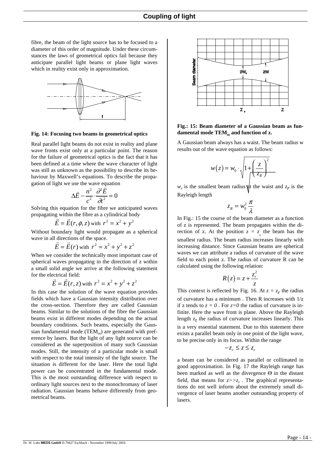fibre, the beam of the light source has to be focused to a diameter of this order of magnitude. Under these circumstances the laws of geometrical optics fail because they anticipate parallel light beams or plane light waves which in reality exist only in approximation.



#### **Fig. 14: Focusing two beams in geometrical optics**

Real parallel light beams do not exist in reality and plane wave fronts exist only at a particular point. The reason for the failure of geometrical optics is the fact that it has been defined at a time where the wave character of light was still as unknown as the possibility to describe its behaviour by Maxwell's equations. To describe the propagation of light we use the wave equation<br> $\vec{r} = n^2 \vec{\theta} \vec{E}$ 

$$
\Delta \vec{E} - \frac{n^2}{c^2} \cdot \frac{\partial^2 \vec{E}}{\partial t^2} = 0
$$

Solving this equation for the fibre we anticipated waves

propagating within the fibre as a cylindrical body  

$$
\vec{E} = \vec{E}(r, \phi, z) \text{ with } r^2 = x^2 + y^2
$$

Without boundary light would propagate as a spherical

wave in all directions of the space.  
\n
$$
\vec{E} = \vec{E}(r) \text{ with } r^2 = x^2 + y^2 + z^2
$$

When we consider the technically most important case of spherical waves propagating in the direction of z within a small solid angle we arrive at the following statement for the electrical field:

$$
\vec{E} = \vec{E}(r, z) \text{ with } r^2 = x^2 + y^2 + z^2
$$

In this case the solution of the wave equation provides fields which have a Gaussian intensity distribution over the cross-section. Therefore they are called Gaussian beams. Similar to the solutions of the fibre the Gaussian beams exist in different modes depending on the actual boundary conditions. Such beams, especially the Gaussian fundamental mode ( $TEM_{00}$ ) are generated with preference by lasers. But the light of any light source can be considered as the superposition of many such Gaussian modes. Still, the intensity of a particular mode is small with respect to the total intensity of the light source. The situation is different for the laser. Here the total light power can be concentrated in the fundamental mode. This is the most outstanding difference with respect to ordinary light sources next to the monochromasy of laser radiation. Gaussian beams behave differently from geometrical beams.



#### **Fig.: 15: Beam diameter of a Gaussian beam as fun**damental mode TEM<sub>00</sub> and function of z.

A Gaussian beam always has a waist. The beam radius w results out of the wave equation as follows:

$$
w(z) = w_0 \cdot \sqrt{1 + \left(\frac{z}{z_R}\right)^2}
$$

 $w_0$  is the smallest beam radius  $\psi$  the waist and  $z_r$  is the Rayleigh length

$$
z_R = w_0^2 \frac{\pi}{\lambda}
$$

In Fig.: 15 the course of the beam diameter as a function of z is represented. The beam propagates within the direction of z. At the position  $z = z_0$  the beam has the smallest radius. The beam radius increases linearly with increasing distance. Since Gaussian beams are spherical waves we can attribute a radius of curvature of the wave field to each point z. The radius of curvature R can be calculated using the following relation:

$$
R(z) = z + \frac{z_r^2}{z}
$$

This context is reflected by Fig. 16. At  $z = z_r$  the radius of curvature has a minimum . Then R increases with 1/z if z tends to  $z = 0$ . For  $z=0$  the radius of curvature is infinite. Here the wave front is plane. Above the Rayleigh length  $z_r$  the radius of curvature increases linearly. This is a very essential statement. Due to this statement there exists a parallel beam only in one point of the light wave, to be precise only in its focus. Within the range

$$
-z_r\leq z\leq z_r
$$

a beam can be considered as parallel or collimated in good approximation. In Fig. 17 the Rayleigh range has been marked as well as the divergence Θ in the distant field, that means for  $z \rightarrow z_0$ . The graphical representations do not well inform about the extremely small divergence of laser beams another outstanding property of lasers.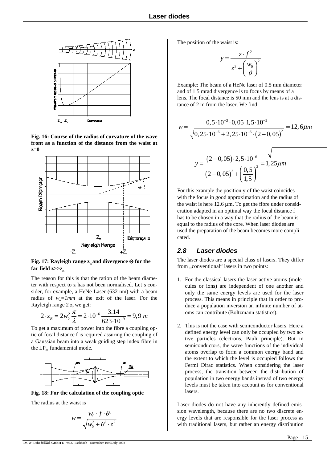

**Fig. 16: Course of the radius of curvature of the wave front as a function of the distance from the waist at z=0**



**Fig. 17: Rayleigh range z<sub>n</sub> and divergence Θ for the** far field  $z \gg z_n$ 

The reason for this is that the ration of the beam diameter with respect to z has not been normalised. Let's consider, for example, a HeNe-Laser (632 nm) with a beam radius of  $w_e = 1$ *mm* at the exit of the laser. For the Rayleigh range 2 z<sub>r</sub> we get:

$$
2 \cdot z_R = 2w_0^2 \frac{\pi}{\lambda} = 2 \cdot 10^{-6} \frac{3.14}{623 \cdot 10^{-9}} = 9.9 m
$$

To get a maximum of power into the fibre a coupling optic of focal distance f is required assuring the coupling of a Gaussian beam into a weak guiding step index fibre in the  $LP_{01}$  fundamental mode.



**Fig. 18: For the calculation of the coupling optic**

The radius at the waist is

$$
w = \frac{w_0 \cdot f \cdot \theta}{\sqrt{w_0^2 + \theta^2 \cdot z^2}}
$$

The position of the waist is:

$$
y = \frac{z \cdot f^2}{z^2 + \left(\frac{w_0}{\theta}\right)^2}
$$

Example: The beam of a HeNe laser of 0.5 mm diameter and of 1.5 mrad divergence is to focus by means of a lens. The focal distance is 50 mm and the lens is at a distance of 2 m from the laser. We find:

$$
w = \frac{0.5 \cdot 10^{-3} \cdot 0.05 \cdot 1.5 \cdot 10^{-3}}{\sqrt{0.25 \cdot 10^{-6} + 2.25 \cdot 10^{-6} \cdot (2 - 0.05)^{2}}} = 12,6 \mu m
$$
  

$$
y = \frac{(2 - 0.05) \cdot 2.5 \cdot 10^{-6}}{(2 - 0.05)^{2} + (\frac{0.5}{1.5})^{2}} = 1,25 \mu m
$$

For this example the position y of the waist coincides with the focus in good approximation and the radius of the waist is here  $12.6 \mu m$ . To get the fibre under consideration adapted in an optimal way the focal distance f has to be chosen in a way that the radius of the beam is equal to the radius of the core. When laser diodes are used the preparation of the beam becomes more complicated.

### *2.8 Laser diodes*

The laser diodes are a special class of lasers. They differ from "conventional" lasers in two points:

- 1. For the classical lasers the laser-active atoms (molecules or ions) are independent of one another and only the same energy levels are used for the laser process. This means in principle that in order to produce a population inversion an infinite number of atoms can contribute (Boltzmann statistics).
- 2. This is not the case with semiconductor lasers. Here a defined energy level can only be occupied by two active particles (electrons, Pauli principle). But in semiconductors, the wave functions of the individual atoms overlap to form a common energy band and the extent to which the level is occupied follows the Fermi Dirac statistics. When considering the laser process, the transition between the distribution of population in two energy bands instead of two energy levels must be taken into account as for conventional lasers.

Laser diodes do not have any inherently defined emission wavelength, because there are no two discrete energy levels that are responsible for the laser process as with traditional lasers, but rather an energy distribution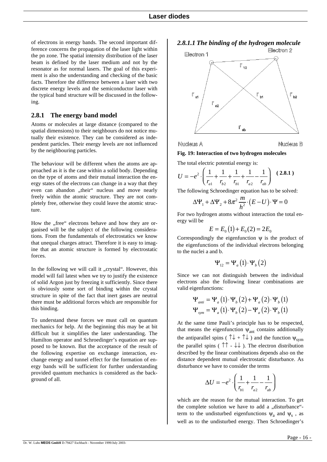of electrons in energy bands. The second important difference concerns the propagation of the laser light within the pn zone. The spatial intensity distribution of the laser beam is defined by the laser medium and not by the resonator as for normal lasers. The goal of this experiment is also the understanding and checking of the basic facts. Therefore the difference between a laser with two discrete energy levels and the semiconductor laser with the typical band structure will be discussed in the following.

#### **2.8.1 The energy band model**

Atoms or molecules at large distance (compared to the spatial dimensions) to their neighbours do not notice mutually their existence. They can be considered as independent particles. Their energy levels are not influenced by the neighbouring particles.

The behaviour will be different when the atoms are approached as it is the case within a solid body. Depending on the type of atoms and their mutual interaction the energy states of the electrons can change in a way that they even can abandon "their" nucleus and move nearly freely within the atomic structure. They are not completely free, otherwise they could leave the atomic structure.

How the "free" electrons behave and how they are organised will be the subject of the following considerations. From the fundamentals of electrostatics we know that unequal charges attract. Therefore it is easy to imagine that an atomic structure is formed by electrostatic forces.

In the following we will call it "crystal". However, this model will fail latest when we try to justify the existence of solid Argon just by freezing it sufficiently. Since there is obviously some sort of binding within the crystal structure in spite of the fact that inert gases are neutral there must be additional forces which are responsible for this binding.

To understand these forces we must call on quantum mechanics for help. At the beginning this may be at bit difficult but it simplifies the later understanding. The Hamilton operator and Schroedinger's equation are supposed to be known. But the acceptance of the result of the following expertise on exchange interaction, exchange energy and tunnel effect for the formation of energy bands will be sufficient for further understanding provided quantum mechanics is considered as the background of all.

*2.8.1.1 The binding of the hydrogen molecule*



**Nucleus A** 

**Nucleus B** 

#### **Fig. 19: Interaction of two hydrogen molecules**

The total electric potential energy is:

$$
U = -e^2 \cdot \left(\frac{1}{r_{a1}} + \frac{1}{r_{b2}} + \frac{1}{r_{b1}} + \frac{1}{r_{a2}} - \frac{1}{r_{ab}}\right) (2.8.1)
$$

The following Schroedinger equation has to be solved:

$$
\Delta \Psi_1 + \Delta \Psi_2 + 8\pi^2 \frac{m}{h^2} \cdot (E - U) \cdot \Psi = 0
$$

For two hydrogen atoms without interaction the total energy will be

$$
E = E_0(1) + E_0(2) = 2E_0
$$

Correspondingly the eigenfunction  $\psi$  is the product of the eigenfunctions of the individual electrons belonging to the nuclei a and b.

$$
\Psi_{12} = \Psi_a(1) \cdot \Psi_b(2)
$$

Since we can not distinguish between the individual electrons also the following linear combinations are valid eigenfunctions:

$$
\Psi_{\text{anti}} = \Psi_a(1) \cdot \Psi_b(2) + \Psi_a(2) \cdot \Psi_b(1)
$$

$$
\Psi_{\text{sym}} = \Psi_a(1) \cdot \Psi_b(2) - \Psi_a(2) \cdot \Psi_b(1)
$$

At the same time Pauli's principle has to be respected, that means the eigenfunction  $\psi_{ant}$  contains additionally the antiparallel spins ( $\uparrow \downarrow + \uparrow \downarrow$ ) and the function  $\psi_{sym}$ the parallel spins ( $\uparrow \uparrow$  -  $\downarrow \downarrow$ ). The electron distribution described by the linear combinations depends also on the distance dependent mutual electrostatic disturbance. As disturbance we have to consider the terms

$$
\Delta U = -e^2 \cdot \left(\frac{1}{r_{b1}} + \frac{1}{r_{a2}} - \frac{1}{r_{ab}}\right)
$$

which are the reason for the mutual interaction. To get the complete solution we have to add a "disturbance"term to the undisturbed eigenfunctions  $\psi_a$  and  $\psi_s$ , as well as to the undisturbed energy. Then Schroedinger's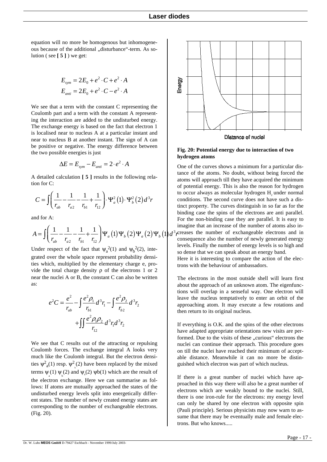equation will no more be homogenous but inhomogeneous because of the additional "disturbance"-term. As solution ( see **[ 5 ]** ) we get:

$$
E_{sym} = 2E_0 + e^2 \cdot C + e^2 \cdot A
$$
  

$$
E_{anti} = 2E_0 + e^2 \cdot C - e^2 \cdot A
$$

We see that a term with the constant C representing the Coulomb part and a term with the constant A representing the interaction are added to the undisturbed energy. The exchange energy is based on the fact that electron 1 is localised near to nucleus A at a particular instant and near to nucleus B at another instant. The sign of A can be positive or negative. The energy difference between the two possible energies is just

$$
\Delta E = E_{sym} - E_{anti} = 2 \cdot e^2 \cdot A
$$

A detailed calculation **[ 5 ]** results in the following relation for C:

$$
C = \iint \left( \frac{1}{r_{ab}} - \frac{1}{r_{a2}} - \frac{1}{r_{b1}} + \frac{1}{r_{12}} \right) \cdot \Psi_a^2(1) \cdot \Psi_b^2(2) d^3 r
$$

and for A:

$$
A = \iint \left( \frac{1}{r_{ab}} - \frac{1}{r_{a2}} - \frac{1}{r_{b1}} + \frac{1}{r_{12}} \right) \Psi_a(1) \Psi_b(2) \Psi_a(2) \Psi_b(1) d^3r
$$

Under respect of the fact that  $\psi_a^2(1)$  and  $\psi_b^2(2)$ , integrated over the whole space represent probability densities which, multiplied by the elementary charge e, provide the total charge density  $ρ$  of the electrons 1 or 2 near the nuclei A or B, the constant C can also be written as:

$$
e^{2}C = \frac{e^{2}}{r_{ab}} - \int \frac{e^{2} \rho_{1}}{r_{b1}} d^{3}r_{1} - \int \frac{e^{2} \rho_{2}}{r_{b2}} d^{3}r_{2}
$$

$$
+ \int \int \frac{e^{2} \rho_{1} \rho_{2}}{r_{12}} d^{3}r_{1} d^{3}r_{2}
$$

We see that C results out of the attracting or repulsing Coulomb forces. The exchange integral A looks very much like the Coulomb integral. But the electron densities  $\psi^2_{a}(1)$  resp.  $\psi^2_{b}(2)$  have been replaced by the mixed terms  $\psi_a(1) \psi_b(2)$  and  $\psi_a(2) \psi_b(1)$  which are the result of the electron exchange. Here we can summarise as follows: If atoms are mutually approached the states of the undisturbed energy levels split into energetically different states. The number of newly created energy states are corresponding to the number of exchangeable electrons. (Fig. 20).



**Fig. 20: Potential energy due to interaction of two hydrogen atoms**

One of the curves shows a minimum for a particular distance of the atoms. No doubt, without being forced the atoms will approach till they have acquired the minimum of potential energy. This is also the reason for hydrogen to occur always as molecular hydrogen H<sub>2</sub> under normal conditions. The second curve does not have such a distinct property. The curves distinguish in so far as for the binding case the spins of the electrons are anti parallel. For the non-binding case they are parallel. It is easy to imagine that an increase of the number of atoms also in- $\beta$ <sub>r</sub> creases the number of exchangeable electrons and in consequence also the number of newly generated energy levels. Finally the number of energy levels is so high and so dense that we can speak about an energy band. Here it is interesting to compare the action of the elec-

trons with the behaviour of ambassadors.

The electrons in the most outside shell will learn first about the approach of an unknown atom. The eigenfunctions will overlap in a senseful way. One electron will leave the nucleus temptatively to enter an orbit of the approaching atom. It may execute a few rotations and then return to its original nucleus.

If everything is O.K. and the spins of the other electrons have adapted appropriate orientations new visits are performed. Due to the visits of these "curious" electrons the nuclei can continue their approach. This procedure goes on till the nuclei have reached their minimum of acceptable distance. Meanwhile it can no more be distinguished which electron was part of which nucleus.

If there is a great number of nuclei which have approached in this way there will also be a great number of electrons which are weakly bound to the nuclei. Still, there is one iron-rule for the electrons: my energy level can only be shared by one electron with opposite spin (Pauli principle). Serious physicists may now warn to assume that there may be eventually male and female electrons. But who knows.....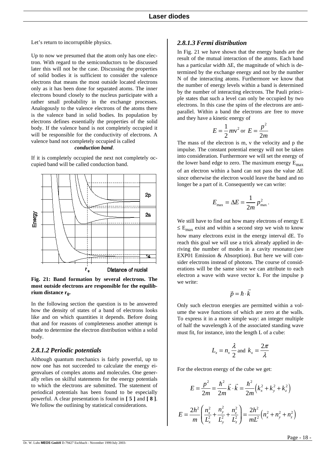Let's return to incorruptible physics.

Up to now we presumed that the atom only has one electron. With regard to the semiconductors to be discussed later this will not be the case. Discussing the properties of solid bodies it is sufficient to consider the valence electrons that means the most outside located electrons only as it has been done for separated atoms. The inner electrons bound closely to the nucleus participate with a rather small probability in the exchange processes. Analogously to the valence electrons of the atoms there is the valence band in solid bodies. Its population by electrons defines essentially the properties of the solid body. If the valence band is not completely occupied it will be responsible for the conductivity of electrons. A valence band not completely occupied is called

#### *conduction band*.

If it is completely occupied the next not completely occupied band will be called conduction band.



**Fig. 21: Band formation by several electrons. The most outside electrons are responsible for the equilibrium distance r<sub>0</sub>.** 

In the following section the question is to be answered how the density of states of a band of electrons looks like and on which quantities it depends. Before doing that and for reasons of completeness another attempt is made to determine the electron distribution within a solid body.

### *2.8.1.2 Periodic potentials*

Although quantum mechanics is fairly powerful, up to now one has not succeeded to calculate the energy eigenvalues of complex atoms and molecules. One generally relies on skilful statements for the energy potentials to which the electrons are submitted. The statement of periodical potentials has been found to be especially powerful. A clear presentation is found in **[ 5 ]** and **[ 8 ]**. We follow the outlining by statistical considerations.

#### *2.8.1.3 Fermi distribution*

In Fig. 21 we have shown that the energy bands are the result of the mutual interaction of the atoms. Each band has a particular width ∆E, the magnitude of which is determined by the exchange energy and not by the number N of the interacting atoms. Furthermore we know that the number of energy levels within a band is determined by the number of interacting electrons. The Pauli principle states that such a level can only be occupied by two electrons. In this case the spins of the electrons are antiparallel. Within a band the electrons are free to move and they have a kinetic energy of

$$
E = \frac{1}{2}mv^2
$$
 or 
$$
E = \frac{p^2}{2m}
$$

The mass of the electron is m, v the velocity and p the impulse. The constant potential energy will not be taken into consideration. Furthermore we will set the energy of the lower band edge to zero. The maximum energy  $E_{\text{max}}$ of an electron within a band can not pass the value ∆E since otherwise the electron would leave the band and no longer be a part of it. Consequently we can write:

$$
E_{\text{max}} = \Delta E = \frac{1}{2m} p_{\text{max}}^2.
$$

We still have to find out how many electrons of energy E  $\leq$  E<sub>max</sub> exist and within a second step we wish to know how many electrons exist in the energy interval dE. To reach this goal we will use a trick already applied in deriving the number of modes in a cavity resonator.(see EXP01 Emission & Absorption). But here we will consider electrons instead of photons. The course of considerations will be the same since we can attribute to each electron a wave with wave vector k. For the impulse p we write:

$$
\vec{p} = \hbar \cdot \vec{k}
$$

Only such electron energies are permitted within a volume the wave functions of which are zero at the walls. To express it in a more simple way: an integer multiple of half the wavelength  $\lambda$  of the associated standing wave must fit, for instance, into the length L of a cube:

$$
L_x = n_x \frac{\lambda}{2} \text{ and } k_x = \frac{2\pi}{\lambda}
$$

For the electron energy of the cube we get:

$$
E = \frac{p^2}{2m} = \frac{\hbar^2}{2m} \vec{k} \cdot \vec{k} = \frac{\hbar^2}{2m} \left( k_x^2 + k_y^2 + k_z^2 \right)
$$

$$
E = \frac{2h^2}{m} \left( \frac{n_x^2}{L_x^2} + \frac{n_y^2}{L_y^2} + \frac{n_z^2}{L_z^2} \right) = \frac{2h^2}{mL^2} \left( n_x^2 + n_y^2 + n_z^2 \right)
$$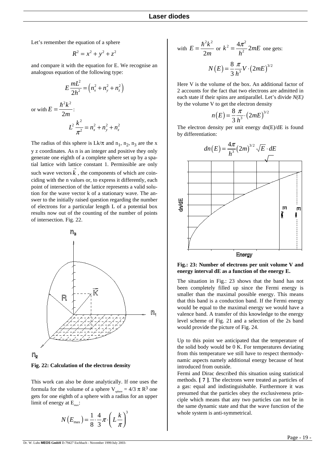Let's remember the equation of a sphere

$$
R^2 = x^2 + y^2 + z^2
$$

and compare it with the equation for E. We recognise an analogous equation of the following type:

$$
E\frac{mL^2}{2h^2} = (n_x^2 + n_y^2 + n_z^2)
$$
  
ith  $E = \frac{\hbar^2 k^2}{2m}$ :  

$$
L^2 \frac{k^2}{\pi^2} = n_x^2 + n_y^2 + n_z^2
$$

or w

The radius of this sphere is  $Lk/\pi$  and  $n_1$ ,  $n_2$ ,  $n_3$  are the x y z coordinates. As n is an integer and positive they only generate one eighth of a complete sphere set up by a spatial lattice with lattice constant 1. Permissible are only such wave vectors  $k$ , the components of which are coinciding with the n values or, to express it differently, each point of intersection of the lattice represents a valid solution for the wave vector k of a stationary wave. The answer to the initially raised question regarding the number of electrons for a particular length L of a potential box results now out of the counting of the number of points of intersection. Fig. 22.



**Fig. 22: Calculation of the electron density**

This work can also be done analytically. If one uses the formula for the volume of a sphere  $V_{\text{sphere}} = 4/3 \pi R^3$  one gets for one eighth of a sphere with a radius for an upper limit of energy at  $E_{\text{max}}$ :

$$
N(E_{\text{max}}) = \frac{1}{8} \cdot \frac{4}{3} \pi \cdot \left(L\frac{k}{\pi}\right)^3
$$

with 
$$
E = \frac{\hbar^2 k^2}{2m}
$$
 or  $k^2 = \frac{4\pi^2}{h^2} 2mE$  one gets:  

$$
N(E) = \frac{8}{3} \frac{\pi}{h^3} V \cdot (2mE)^{3/2}
$$

Here V is the volume of the box. An additional factor of 2 accounts for the fact that two electrons are admitted in each state if their spins are antiparallel. Let's divide *N(E)* by the volume V to get the electron density

$$
n(E) = \frac{8 \pi}{3 h^3} \cdot (2mE)^{3/2}
$$

The electron density per unit energy  $dn(E)/dE$  is found by differentiation:



**Fig.: 23: Number of electrons per unit volume V and energy interval dE as a function of the energy E.**

The situation in Fig.: 23 shows that the band has not been completely filled up since the Fermi energy is smaller than the maximal possible energy. This means that this band is a conduction band. If the Fermi energy would be equal to the maximal energy we would have a valence band. A transfer of this knowledge to the energy level scheme of Fig. 21 and a selection of the 2s band would provide the picture of Fig. 24.

Up to this point we anticipated that the temperature of the solid body would be 0 K. For temperatures deviating from this temperature we still have to respect thermodynamic aspects namely additional energy because of heat introduced from outside.

Fermi and Dirac described this situation using statistical methods. **[ 7 ]**. The electrons were treated as particles of a gas: equal and indistinguishable. Furthermore it was presumed that the particles obey the exclusiveness principle which means that any two particles can not be in the same dynamic state and that the wave function of the whole system is anti-symmetrical.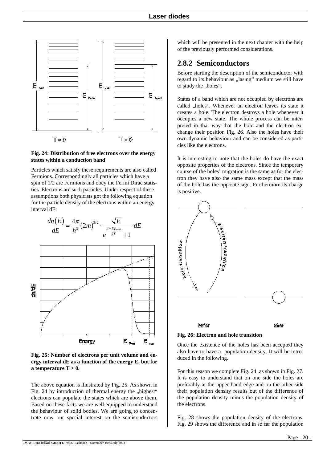

#### **Fig. 24: Distribution of free electrons over the energy states within a conduction band**

Particles which satisfy these requirements are also called Fermions. Correspondingly all particles which have a spin of 1/2 are Fermions and obey the Fermi Dirac statistics. Electrons are such particles. Under respect of these assumptions both physicists got the following equation for the particle density of the electrons within an energy interval dE:



**Fig. 25: Number of electrons per unit volume and energy interval dE as a function of the energy E, but for a temperature T > 0.**

The above equation is illustrated by Fig. 25. As shown in Fig. 24 by introduction of thermal energy the "highest" electrons can populate the states which are above them. Based on these facts we are well equipped to understand the behaviour of solid bodies. We are going to concentrate now our special interest on the semiconductors which will be presented in the next chapter with the help of the previously performed considerations.

## **2.8.2 Semiconductors**

Before starting the description of the semiconductor with regard to its behaviour as "lasing" medium we still have to study the "holes".

States of a band which are not occupied by electrons are called "holes". Whenever an electron leaves its state it creates a hole. The electron destroys a hole whenever it occupies a new state. The whole process can be interpreted in that way that the hole and the electron exchange their position Fig. 26. Also the holes have their own dynamic behaviour and can be considered as particles like the electrons.

It is interesting to note that the holes do have the exact opposite properties of the electrons. Since the temporary course of the holes' migration is the same as for the electron they have also the same mass except that the mass of the hole has the opposite sign. Furthermore its charge is positive.



**Fig. 26: Electron and hole transition**

Once the existence of the holes has been accepted they also have to have a population density. It will be introduced in the following.

For this reason we complete Fig. 24, as shown in Fig. 27. It is easy to understand that on one side the holes are preferably at the upper band edge and on the other side their population density results out of the difference of the population density minus the population density of the electrons.

Fig. 28 shows the population density of the electrons. Fig. 29 shows the difference and in so far the population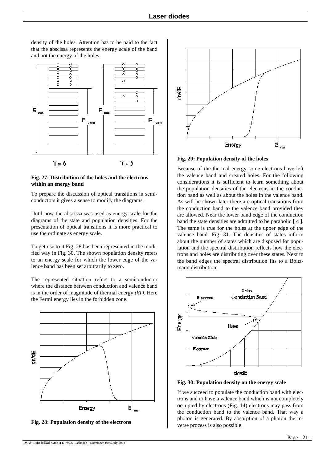E E E 叵  $T = 0$  $T > 0$ 

density of the holes. Attention has to be paid to the fact that the abscissa represents the energy scale of the band

and not the energy of the holes.

#### **Fig. 27: Distribution of the holes and the electrons within an energy band**

To prepare the discussion of optical transitions in semiconductors it gives a sense to modify the diagrams.

Until now the abscissa was used as energy scale for the diagrams of the state and population densities. For the presentation of optical transitions it is more practical to use the ordinate as energy scale.

To get use to it Fig. 28 has been represented in the modified way in Fig. 30. The shown population density refers to an energy scale for which the lower edge of the valence band has been set arbitrarily to zero.

The represented situation refers to a semiconductor where the distance between conduction and valence band is in the order of magnitude of thermal energy *(kT)*. Here the Fermi energy lies in the forbidden zone.



**Fig. 28: Population density of the electrons**



**Fig. 29: Population density of the holes**

Because of the thermal energy some electrons have left the valence band and created holes. For the following considerations it is sufficient to learn something about the population densities of the electrons in the conduction band as well as about the holes in the valence band. As will be shown later there are optical transitions from the conduction band to the valence band provided they are allowed. Near the lower band edge of the conduction band the state densities are admitted to be parabolic **[ 4 ]**. The same is true for the holes at the upper edge of the valence band. Fig. 31. The densities of states inform about the number of states which are disposed for population and the spectral distribution reflects how the electrons and holes are distributing over these states. Next to the band edges the spectral distribution fits to a Boltzmann distribution.



**Fig. 30: Population density on the energy scale**

If we succeed to populate the conduction band with electrons and to have a valence band which is not completely occupied by electrons (Fig. 14) electrons may pass from the conduction band to the valence band. That way a photon is generated. By absorption of a photon the inverse process is also possible.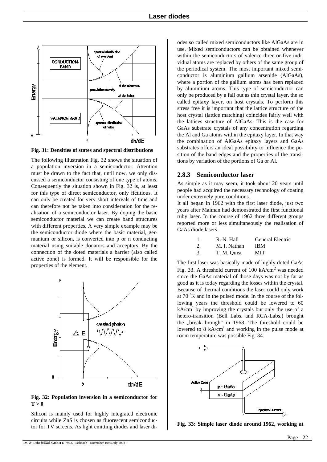

**Fig. 31: Densities of states and spectral distributions**

The following illustration Fig. 32 shows the situation of a population inversion in a semiconductor. Attention must be drawn to the fact that, until now, we only discussed a semiconductor consisting of one type of atoms. Consequently the situation shown in Fig. 32 is, at least for this type of direct semiconductor, only fictitious. It can only be created for very short intervals of time and can therefore not be taken into consideration for the realisation of a semiconductor laser. By doping the basic semiconductor material we can create band structures with different properties. A very simple example may be the semiconductor diode where the basic material, germanium or silicon, is converted into p or n conducting material using suitable donators and acceptors. By the connection of the doted materials a barrier (also called active zone) is formed. It will be responsible for the properties of the element.



**Fig. 32: Population inversion in a semiconductor for**   $T > 0$ 

Silicon is mainly used for highly integrated electronic circuits while ZnS is chosen as fluorescent semiconductor for TV screens. As light emitting diodes and laser diodes so called mixed semiconductors like AlGaAs are in use. Mixed semiconductors can be obtained whenever within the semiconductors of valence three or five individual atoms are replaced by others of the same group of the periodical system. The most important mixed semiconductor is aluminium gallium arsenide (AlGaAs), where a portion of the gallium atoms has been replaced by aluminium atoms. This type of semiconductor can only be produced by a fall out as thin crystal layer, the so called epitaxy layer, on host crystals. To perform this stress free it is important that the lattice structure of the host crystal (lattice matching) coincides fairly well with the lattices structure of AlGaAs. This is the case for GaAs substrate crystals of any concentration regarding the Al and Ga atoms within the epitaxy layer. In that way the combination of AlGaAs epitaxy layers and GaAs substrates offers an ideal possibility to influence the position of the band edges and the properties of the transitions by variation of the portions of Ga or Al.

#### **2.8.3 Semiconductor laser**

As simple as it may seem, it took about 20 years until people had acquired the necessary technology of coating under extremely pure conditions.

It all began in 1962 with the first laser diode, just two years after Maiman had demonstrated the first functional ruby laser. In the course of 1962 three different groups reported more or less simultaneously the realisation of GaAs diode lasers.

|    | R. N. Hall   | <b>General Electric</b> |
|----|--------------|-------------------------|
| 2. | M. I. Nathan | <b>IBM</b>              |

3. T. M. Quist MIT

The first laser was basically made of highly doted GaAs Fig. 33. A threshold current of 100 kA/cm2 was needed since the GaAs material of those days was not by far as good as it is today regarding the losses within the crystal. Because of thermal conditions the laser could only work at  $70 \text{°K}$  and in the pulsed mode. In the course of the following years the threshold could be lowered to 60  $kA/cm<sup>2</sup>$  by improving the crystals but only the use of a hetero-transition (Bell Labs. and RCA-Labs.) brought the "break-through" in 1968. The threshold could be lowered to  $8 \text{ kA/cm}^2$  and working in the pulse mode at room temperature was possible Fig. 34.



**Fig. 33: Simple laser diode around 1962, working at**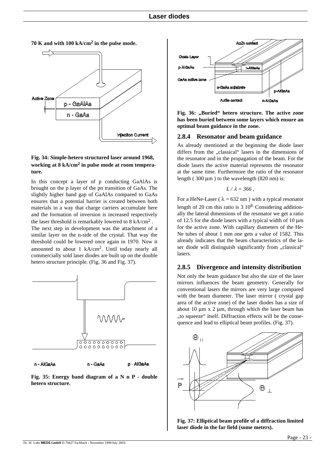

#### **Fig. 34: Simple-hetero structured laser around 1968, working at 8 kA/cm2 in pulse mode at room temperature.**

In this concept a layer of p conducting GaAlAs is brought on the p layer of the pn transition of GaAs. The slightly higher band gap of GaAlAs compared to GaAs ensures that a potential barrier is created between both materials in a way that charge carriers accumulate here and the formation of inversion is increased respectively the laser threshold is remarkably lowered to  $8 \text{ kA/cm}^2$ .

The next step in development was the attachment of a similar layer on the n-side of the crystal. That way the threshold could be lowered once again in 1970. Now it amounted to about 1 kA/cm2. Until today nearly all commercially sold laser diodes are built up on the double hetero structure principle. (Fig. 36 and Fig. 37).



n - AlGaAs

n - GaAs **p** - AlgaAs

**Fig. 35: Energy band diagram of a N n P - double hetero structure.**



Fig. 36: "Buried" hetero structure. The active zone **has been buried between some layers which ensure an optimal beam guidance in the zone.**

#### **2.8.4 Resonator and beam guidance**

As already mentioned at the beginning the diode laser differs from the "classical" lasers in the dimensions of the resonator and in the propagation of the beam. For the diode lasers the active material represents the resonator at the same time. Furthermore the ratio of the resonator length ( $300 \mu m$ ) to the wavelength ( $820 \text{ nm}$ ) is:

$$
L/\lambda = 366,
$$

For a HeNe-Laser ( $\lambda = 632$  nm) with a typical resonator length of 20 cm this ratio is 3 108. Considering additionally the lateral dimensions of the resonator we get a ratio of 12.5 for the diode lasers with a typical width of 10  $\mu$ m for the active zone. With capillary diameters of the He-Ne tubes of about 1 mm one gets a value of 1582. This already indicates that the beam characteristics of the laser diode will distinguish significantly from "classical" lasers.

#### **2.8.5 Divergence and intensity distribution**

Not only the beam guidance but also the size of the laser mirrors influences the beam geometry. Generally for conventional lasers the mirrors are very large compared with the beam diameter. The laser mirror ( crystal gap area of the active zone) of the laser diodes has a size of about 10  $\mu$ m x 2  $\mu$ m, through which the laser beam has "to squeeze" itself. Diffraction effects will be the consequence and lead to elliptical beam profiles. (Fig. 37).



**Fig. 37: Elliptical beam profile of a diffraction limited laser diode in the far field (some meters).**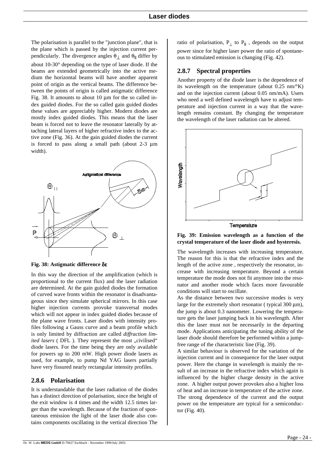The polarisation is parallel to the "junction plane", that is the plane which is passed by the injection current perpendicularly. The divergence angles  $θ_⊥$  and  $θ_||$  differ by about 10-30° depending on the type of laser diode. If the beams are extended geometrically into the active medium the horizontal beams will have another apparent point of origin as the vertical beams. The difference between the points of origin is called astigmatic difference Fig. 38. It amounts to about 10 µm for the so called index guided diodes. For the so called gain guided diodes these values are appreciably higher. Modern diodes are mostly index guided diodes. This means that the laser beam is forced not to leave the resonator laterally by attaching lateral layers of higher refractive index to the active zone (Fig. 36). At the gain guided diodes the current is forced to pass along a small path (about 2-3 µm width).



**Fig. 38: Astigmatic difference** δε

In this way the direction of the amplification (which is proportional to the current flux) and the laser radiation are determined. At the gain guided diodes the formation of curved wave fronts within the resonator is disadvantageous since they simulate spherical mirrors. In this case higher injection currents provoke transversal modes which will not appear in index guided diodes because of the plane wave fronts. Laser diodes with intensity profiles following a Gauss curve and a beam profile which is only limited by diffraction are called *diffraction limited lasers* (DFL). They represent the most "civilised" diode lasers. For the time being they are only available for powers up to 200 mW. High power diode lasers as used, for example, to pump Nd YAG lasers partially have very fissured nearly rectangular intensity profiles.

### **2.8.6 Polarisation**

It is understandable that the laser radiation of the diodes has a distinct direction of polarisation, since the height of the exit window is 4 times and the width 12.5 times larger than the wavelength. Because of the fraction of spontaneous emission the light of the laser diode also contains components oscillating in the vertical direction The

ratio of polarisation,  $P_{\perp}$  to  $P_{\parallel}$ , depends on the output power since for higher laser power the ratio of spontaneous to stimulated emission is changing (Fig. 42).

### **2.8.7 Spectral properties**

Another property of the diode laser is the dependence of its wavelength on the temperature (about 0.25 nm/°K) and on the injection current (about 0.05 nm/mA). Users who need a well defined wavelength have to adjust temperature and injection current in a way that the wavelength remains constant. By changing the temperature the wavelength of the laser radiation can be altered.





The wavelength increases with increasing temperature. The reason for this is that the refractive index and the length of the active zone , respectively the resonator, increase with increasing temperature. Beyond a certain temperature the mode does not fit anymore into the resonator and another mode which faces more favourable conditions will start to oscillate.

As the distance between two successive modes is very large for the extremely short resonator ( typical 300 µm), the jump is about 0.3 nanometer. Lowering the temperature gets the laser jumping back in his wavelength. After this the laser must not be necessarily in the departing mode. Applications anticipating the tuning ability of the laser diode should therefore be performed within a jumpfree range of the characteristic line (Fig. 39).

A similar behaviour is observed for the variation of the injection current and in consequence for the laser output power. Here the change in wavelength is mainly the result of an increase in the refractive index which again is influenced by the higher charge density in the active zone. A higher output power provokes also a higher loss of heat and an increase in temperature of the active zone. The strong dependence of the current and the output power on the temperature are typical for a semiconductor (Fig. 40).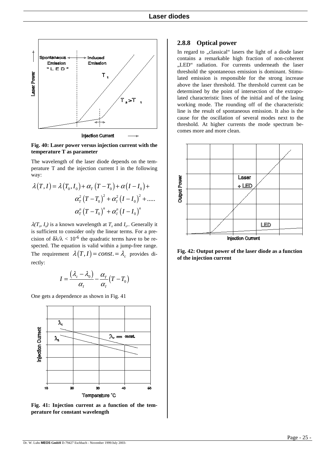

**Fig. 40: Laser power versus injection current with the temperature T as parameter**

The wavelength of the laser diode depends on the temperature T and the injection current I in the following way:

$$
\lambda(T, I) = \lambda(T_0, I_0) + \alpha_T (T - T_0) + \alpha (I - I_0) +
$$
  

$$
\alpha_T^2 (T - T_0)^2 + \alpha_T^2 (I - I_0)^2 + \dots
$$
  

$$
\alpha_T^n (T - T_0)^n + \alpha_T^n (I - I_0)^n
$$

 $\lambda(T_o, I_o)$  is a known wavelength at  $T_o$  and  $I_o$ . Generally it is sufficient to consider only the linear terms. For a precision of  $\delta \lambda / \lambda < 10^{-6}$  the quadratic terms have to be respected. The equation is valid within a jump-free range. The requirement  $\lambda(T, I) = const = \lambda_c$  provides directly:

$$
I = \frac{(\lambda_c - \lambda_0)}{\alpha_I} - \frac{\alpha_T}{\alpha_I} (T - T_0)
$$

One gets a dependence as shown in Fig. 41



**Fig. 41: Injection current as a function of the temperature for constant wavelength**

#### **2.8.8 Optical power**

In regard to "classical" lasers the light of a diode laser contains a remarkable high fraction of non-coherent "LED" radiation. For currents underneath the laser threshold the spontaneous emission is dominant. Stimulated emission is responsible for the strong increase above the laser threshold. The threshold current can be determined by the point of intersection of the extrapolated characteristic lines of the initial and of the lasing working mode. The rounding off of the characteristic line is the result of spontaneous emission. It also is the cause for the oscillation of several modes next to the threshold. At higher currents the mode spectrum becomes more and more clean.



**Fig. 42: Output power of the laser diode as a function of the injection current**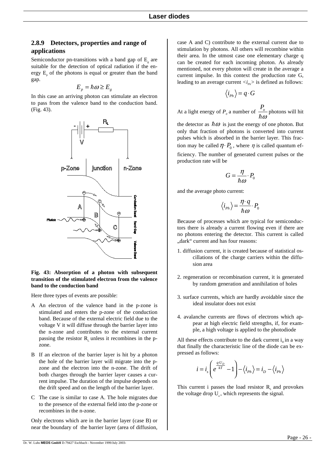### **2.8.9 Detectors, properties and range of applications**

Semiconductor pn-transitions with a band gap of  $E<sub>z</sub>$  are suitable for the detection of optical radiation if the energy  $E<sub>n</sub>$  of the photons is equal or greater than the band gap.

$$
E_p = \hbar \omega \ge E_g
$$

In this case an arriving photon can stimulate an electron to pass from the valence band to the conduction band. (Fig. 43).



#### **Fig. 43: Absorption of a photon with subsequent transition of the stimulated electron from the valence band to the conduction band**

Here three types of events are possible:

- A An electron of the valence band in the p-zone is stimulated and enters the p-zone of the conduction band. Because of the external electric field due to the voltage V it will diffuse through the barrier layer into the n-zone and contributes to the external current passing the resistor  $R_1$  unless it recombines in the pzone.
- B If an electron of the barrier layer is hit by a photon the hole of the barrier layer will migrate into the pzone and the electron into the n-zone. The drift of both charges through the barrier layer causes a current impulse. The duration of the impulse depends on the drift speed and on the length of the barrier layer.
- C The case is similar to case A. The hole migrates due to the presence of the external field into the p-zone or recombines in the n-zone.

Only electrons which are in the barrier layer (case B) or near the boundary of the barrier layer (area of diffusion,

case A and C) contribute to the external current due to stimulation by photons. All others will recombine within their area. In the utmost case one elementary charge q can be created for each incoming photon. As already mentioned, not every photon will create in the average a current impulse. In this context the production rate G, leading to an average current  $\langle i_{p} \rangle$  is defined as follows:

$$
\langle i_{\scriptscriptstyle{Ph}}\rangle=q\cdot G
$$

At a light energy of  $P_0$  a number of  $\frac{P_0}{P_0}$  $\frac{\partial}{\partial \rho}$  photons will hit

the detector as  $\hbar \omega$  is just the energy of one photon. But only that fraction of photons is converted into current pulses which is absorbed in the barrier layer. This fraction may be called  $\eta \cdot P_0$ , where  $\eta$  is called quantum efficiency. The number of generated current pulses or the production rate will be

$$
G = \frac{\eta}{\hbar \omega} \cdot P_0
$$

and the average photo current:

$$
\langle i_{\scriptscriptstyle{Ph}}\rangle = \frac{\eta\cdot q}{\hbar\omega}\cdot P_{\scriptscriptstyle{0}}
$$

Because of processes which are typical for semiconductors there is already a current flowing even if there are no photons entering the detector. This current is called "dark" current and has four reasons:

- 1. diffusion current, it is created because of statistical oscillations of the charge carriers within the diffusion area
- 2. regeneration or recombination current, it is generated by random generation and annihilation of holes
- 3. surface currents, which are hardly avoidable since the ideal insulator does not exist
- 4. avalanche currents are flows of electrons which appear at high electric field strengths, if, for example, a high voltage is applied to the photodiode

All these effects contribute to the dark current  $i_n$  in a way that finally the characteristic line of the diode can be expressed as follows:

$$
i = i_s \left( e^{\frac{q \cdot U_D}{kT}} - 1 \right) - \langle i_{Ph} \rangle = i_D - \langle i_{Ph} \rangle
$$

This current i passes the load resistor  $R<sub>r</sub>$  and provokes the voltage drop  $U_{a}$ , which represents the signal.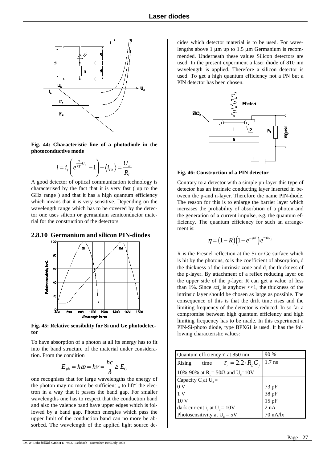

**Fig. 44: Characteristic line of a photodiode in the photoconductive mode**

$$
i = i_s \left( e^{\frac{q}{kT}U_d} - 1 \right) - \langle i_{Ph} \rangle = \frac{U_a}{R_L}
$$

A good detector of optical communication technology is characterised by the fact that it is very fast ( up to the GHz range ) and that it has a high quantum efficiency which means that it is very sensitive. Depending on the wavelength range which has to be covered by the detector one uses silicon or germanium semiconductor material for the construction of the detectors.

#### **2.8.10 Germanium and silicon PIN-diodes**



**Fig. 45: Relative sensibility for Si und Ge photodetector**

To have absorption of a photon at all its energy has to fit into the band structure of the material under consideration. From the condition

$$
E_{ph} = \hbar \omega = h v = \frac{hc}{\lambda} \ge E_G
$$

one recognises that for large wavelengths the energy of the photon may no more be sufficient, to lift" the electron in a way that it passes the band gap. For smaller wavelengths one has to respect that the conduction band and also the valence band have upper edges which is followed by a band gap. Photon energies which pass the upper limit of the conduction band can no more be absorbed. The wavelength of the applied light source decides which detector material is to be used. For wavelengths above 1  $\mu$ m up to 1.5  $\mu$ m Germanium is recommended. Underneath these values Silicon detectors are used. In the present experiment a laser diode of 810 nm wavelength is applied. Therefore a silicon detector is used. To get a high quantum efficiency not a PN but a PIN detector has been chosen.



**Fig. 46: Construction of a PIN detector**

Contrary to a detector with a simple pn-layer this type of detector has an intrinsic conducting layer inserted in between the p-and n-layer. Therefore the name PIN-diode. The reason for this is to enlarge the barrier layer which increases the probability of absorbtion of a photon and the generation of a current impulse, e.g. the quantum efficiency. The quantum efficiency for such an arrangement is:

$$
\eta = (1 - R)\left(1 - e^{-\alpha d}\right)e^{-\alpha d_p}
$$

R is the Fresnel reflection at the Si or Ge surface which is hit by the photons,  $\alpha$  is the coefficient of absorption, d the thickness of the intrinsic zone and d<sub>r</sub> the thickness of the p-layer. By attachment of a reflex reducing layer on the upper side of the p-layer R can get a value of less than 1%. Since  $\alpha d<sub>p</sub>$  is anyhow <<1, the thickness of the intrinsic layer should be chosen as large as possible. The consequence of this is that the drift time rises and the limiting frequency of the detector is reduced. In so far a compromise between high quantum efficiency and high limiting frequency has to be made. In this experiment a PIN-Si-photo diode, type BPX61 is used. It has the following characteristic values:

| Quantum efficiency η at 850 nm                          | 90 %               |  |
|---------------------------------------------------------|--------------------|--|
| $\tau_r = 2.2 \cdot R_L C_i$<br>Rising<br>time          | $1.7$ ns           |  |
| 10%-90% at R <sub>τ</sub> = 50Ω and U <sub>d</sub> =10V |                    |  |
| Capacity $C_i$ at $U_d =$                               |                    |  |
| 0 <sub>V</sub>                                          | $73$ pF            |  |
| 1 <sup>V</sup>                                          | 38pF               |  |
| 10 <sub>V</sub>                                         | 15pF               |  |
| dark current i <sub>d</sub> at $U_d = 10V$              | 2 nA               |  |
| Photosensitivity at $U_a = 5V$                          | $70 \text{ nA/lx}$ |  |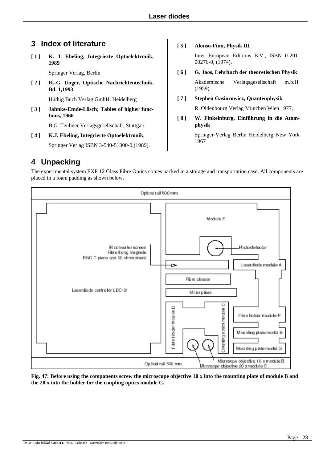# **3 Index of literature**

**[ 1 ] K. J. Ebeling, Integrierte Optoelektronik, 1989**

Springer Verlag, Berlin

**[ 2 ] H.-G. Unger, Optische Nachrichtentechnik, Bd. 1,1993**

Hüthig Buch Verlag GmbH, Heidelberg

**[ 3 ] Jahnke-Emde-Lösch; Tables of higher functions, 1966**

B.G. Teubner Verlagsgesellschaft, Stuttgart

**[ 4 ] K.J. Ebeling, Integrierte Optoelektronik**, Springer Verlag ISBN 3-540-51300-0,(1989).

#### **[ 5 ] Alonso-Finn, Physik III**

Inter European Editions B.V., ISBN 0-201- 00276-0, (1974).

**[ 6 ] G. Joos, Lehrbuch der theoretischen Physik**

Akademische Verlagsgesellschaft m.b.H. (1959).

**[ 7 ] Stephen Gasiorowicz, Quantenphysik**

R. Oldenbourg Verlag München Wien 1977,

**[ 8 ] W. Finkelnburg, Einführung in die Atomphysik**

> Springer-Verlag Berlin Heidelberg New York 1967

# **4 Unpacking**

The experimental system EXP 12 Glass Fibre Optics comes packed in a storage and transportation case. All components are placed in a foam padding as shown below.



**Fig. 47: Before using the components screw the microscope objective 10 x into the mounting plate of module B and the 20 x into the holder for the coupling optics module C.**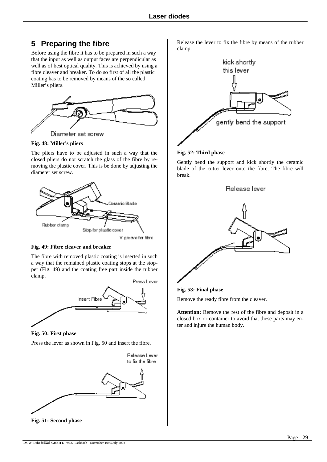# **5 Preparing the fibre**

Before using the fibre it has to be prepared in such a way that the input as well as output faces are perpendicular as well as of best optical quality. This is achieved by using a fibre cleaver and breaker. To do so first of all the plastic coating has to be removed by means of the so called Miller's pliers.



**Fig. 48: Miller's pliers**

The pliers have to be adjusted in such a way that the closed pliers do not scratch the glass of the fibre by removing the plastic cover. This is be done by adjusting the diameter set screw.



V groove for fibre

#### <span id="page-28-0"></span>**Fig. 49: Fibre cleaver and breaker**

The fibre with removed plastic coating is inserted in such a way that the remained plastic coating stops at the stopper [\(Fig.](#page-28-0) 49) and the coating free part inside the rubber clamp.



<span id="page-28-1"></span>**Fig. 50: First phase**

Press the lever as shown i[n Fig. 50](#page-28-1) and insert the fibre.



Release the lever to fix the fibre by means of the rubber clamp.



#### **Fig. 52: Third phase**

Gently bend the support and kick shortly the ceramic blade of the cutter lever onto the fibre. The fibre will break.



**Fig. 53: Final phase**

Remove the ready fibre from the cleaver.

**Attention:** Remove the rest of the fibre and deposit in a closed box or container to avoid that these parts may enter and injure the human body.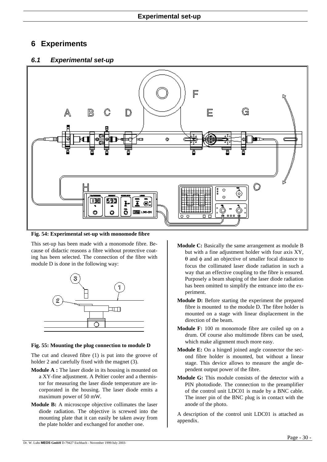## **6 Experiments**

### *6.1 Experimental set-up*



**Fig. 54: Experimental set-up with monomode fibre**

This set-up has been made with a monomode fibre. Because of didactic reasons a fibre without protective coating has been selected. The connection of the fibre with module D is done in the following way:



#### **Fig. 55: Mounting the plug connection to module D**

The cut and cleaved fibre (1) is put into the groove of holder 2 and carefully fixed with the magnet (3).

- **Module A :** The laser diode in its housing is mounted on a XY-fine adjustment. A Peltier cooler and a thermistor for measuring the laser diode temperature are incorporated in the housing. The laser diode emits a maximum power of 50 mW.
- **Module B:** A microscope objective collimates the laser diode radiation. The objective is screwed into the mounting plate that it can easily be taken away from the plate holder and exchanged for another one.
- **Module C:** Basically the same arrangement as module B but with a fine adjustment holder with four axis XY, θ and φ and an objective of smaller focal distance to focus the collimated laser diode radiation in such a way that an effective coupling to the fibre is ensured. Purposely a beam shaping of the laser diode radiation has been omitted to simplify the entrance into the experiment.
- **Module D:** Before starting the experiment the prepared fibre is mounted to the module D. The fibre holder is mounted on a stage with linear displacement in the direction of the beam.
- **Module F:** 100 m monomode fibre are coiled up on a drum. Of course also multimode fibres can be used, which make alignment much more easy.
- **Module E:** On a hinged joined angle connector the second fibre holder is mounted, but without a linear stage. This device allows to measure the angle dependent output power of the fibre.
- **Module G:** This module consists of the detector with a PIN photodiode. The connection to the preamplifier of the control unit LDC01 is made by a BNC cable. The inner pin of the BNC plug is in contact with the anode of the photo.

A description of the control unit LDC01 is attached as appendix.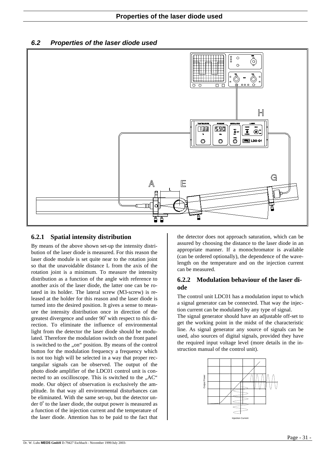*6.2 Properties of the laser diode used*



### **6.2.1 Spatial intensity distribution**

By means of the above shown set-up the intensity distribution of the laser diode is measured. For this reason the laser diode module is set quite near to the rotation joint so that the unavoidable distance L from the axis of the rotation joint is a minimum. To measure the intensity distribution as a function of the angle with reference to another axis of the laser diode, the latter one can be rotated in its holder. The lateral screw (M3-screw) is released at the holder for this reason and the laser diode is turned into the desired position. It gives a sense to measure the intensity distribution once in direction of the greatest divergence and under  $90^{\circ}$  with respect to this direction. To eliminate the influence of environmental light from the detector the laser diode should be modulated. Therefore the modulation switch on the front panel is switched to the "on" position. By means of the control button for the modulation frequency a frequency which is not too high will be selected in a way that proper rectangular signals can be observed. The output of the photo diode amplifier of the LDC01 control unit is connected to an oscilloscope. This is switched to the "AC" mode. Our object of observation is exclusively the amplitude. In that way all environmental disturbances can be eliminated. With the same set-up, but the detector under  $0^{\circ}$  to the laser diode, the output power is measured as a function of the injection current and the temperature of the laser diode. Attention has to be paid to the fact that

the detector does not approach saturation, which can be assured by choosing the distance to the laser diode in an appropriate manner. If a monochromator is available (can be ordered optionally), the dependence of the wavelength on the temperature and on the injection current can be measured.

### **6.2.2 Modulation behaviour of the laser diode**

The control unit LDC01 has a modulation input to which a signal generator can be connected. That way the injection current can be modulated by any type of signal.

The signal generator should have an adjustable off-set to get the working point in the midst of the characteristic line. As signal generator any source of signals can be used, also sources of digital signals, provided they have the required input voltage level (more details in the instruction manual of the control unit).

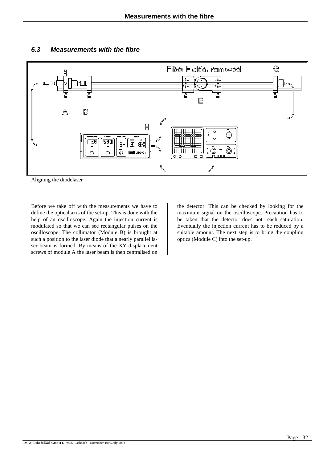

### *6.3 Measurements with the fibre*

Aligning the diodelaser

Before we take off with the measurements we have to define the optical axis of the set-up. This is done with the help of an oscilloscope. Again the injection current is modulated so that we can see rectangular pulses on the oscilloscope. The collimator (Module B) is brought at such a position to the laser diode that a nearly parallel laser beam is formed. By means of the XY-displacement screws of module A the laser beam is then centralised on the detector. This can be checked by looking for the maximum signal on the oscilloscope. Precaution has to be taken that the detector does not reach saturation. Eventually the injection current has to be reduced by a suitable amount. The next step is to bring the coupling optics (Module C) into the set-up.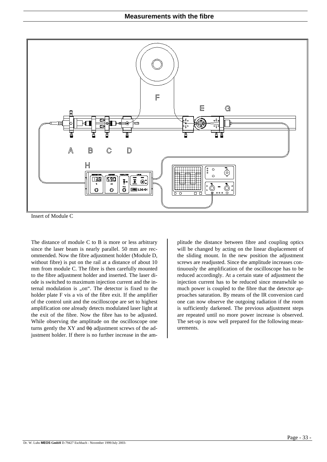

Insert of Module C

The distance of module C to B is more or less arbitrary since the laser beam is nearly parallel. 50 mm are recommended. Now the fibre adjustment holder (Module D, without fibre) is put on the rail at a distance of about 10 mm from module C. The fibre is then carefully mounted to the fibre adjustment holder and inserted. The laser diode is switched to maximum injection current and the internal modulation is "on". The detector is fixed to the holder plate F vis a vis of the fibre exit. If the amplifier of the control unit and the oscilloscope are set to highest amplification one already detects modulated laser light at the exit of the fibre. Now the fibre has to be adjusted. While observing the amplitude on the oscilloscope one turns gently the XY and  $\theta\phi$  adjustment screws of the adjustment holder. If there is no further increase in the amplitude the distance between fibre and coupling optics will be changed by acting on the linear displacement of the sliding mount. In the new position the adjustment screws are readjusted. Since the amplitude increases continuously the amplification of the oscilloscope has to be reduced accordingly. At a certain state of adjustment the injection current has to be reduced since meanwhile so much power is coupled to the fibre that the detector approaches saturation. By means of the IR conversion card one can now observe the outgoing radiation if the room is sufficiently darkened. The previous adjustment steps are repeated until no more power increase is observed. The set-up is now well prepared for the following measurements.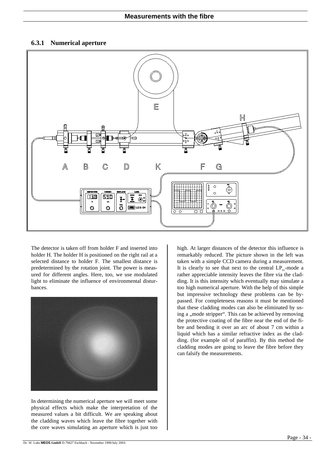### **6.3.1 Numerical aperture**



The detector is taken off from holder F and inserted into holder H. The holder H is positioned on the right rail at a selected distance to holder F. The smallest distance is predetermined by the rotation joint. The power is measured for different angles. Here, too, we use modulated light to eliminate the influence of environmental disturbances.



In determining the numerical aperture we will meet some physical effects which make the interpretation of the measured values a bit difficult. We are speaking about the cladding waves which leave the fibre together with the core waves simulating an aperture which is just too high. At larger distances of the detector this influence is remarkably reduced. The picture shown in the left was taken with a simple CCD camera during a measurement. It is clearly to see that next to the central  $LP_{01}$ -mode a rather appreciable intensity leaves the fibre via the cladding. It is this intensity which eventually may simulate a too high numerical aperture. With the help of this simple but impressive technology these problems can be bypassed. For completeness reasons it must be mentioned that these cladding modes can also be eliminated by using a "mode stripper". This can be achieved by removing the protective coating of the fibre near the end of the fibre and bending it over an arc of about 7 cm within a liquid which has a similar refractive index as the cladding. (for example oil of paraffin). By this method the cladding modes are going to leave the fibre before they can falsify the measurements.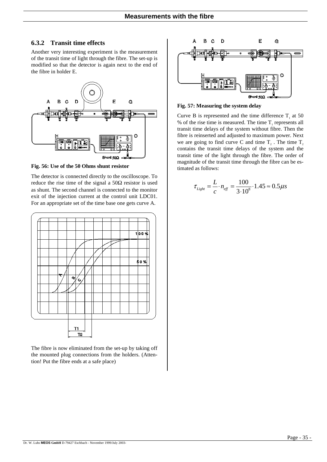### **6.3.2 Transit time effects**

Another very interesting experiment is the measurement of the transit time of light through the fibre. The set-up is modified so that the detector is again next to the end of the fibre in holder E.



**Fig. 56: Use of the 50 Ohms shunt resistor**

The detector is connected directly to the oscilloscope. To reduce the rise time of the signal a  $50\Omega$  resistor is used as shunt. The second channel is connected to the monitor exit of the injection current at the control unit LDC01. For an appropriate set of the time base one gets curve A.



The fibre is now eliminated from the set-up by taking off the mounted plug connections from the holders. (Attention! Put the fibre ends at a safe place)



**Fig. 57: Measuring the system delay**

Curve B is represented and the time difference  $T_1$  at 50 % of the rise time is measured. The time  $T<sub>1</sub>$  represents all transit time delays of the system without fibre. Then the fibre is reinserted and adjusted to maximum power. Next we are going to find curve C and time  $T<sub>2</sub>$ . The time  $T<sub>2</sub>$ contains the transit time delays of the system and the transit time of the light through the fibre. The order of magnitude of the transit time through the fibre can be estimated as follows:

$$
\tau_{Light} = \frac{L}{c} \cdot n_{\text{eff}} = \frac{100}{3 \cdot 10^8} \cdot 1.45 \approx 0.5 \mu s
$$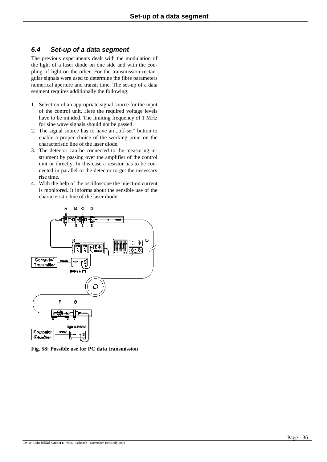### *6.4 Set-up of a data segment*

The previous experiments dealt with the modulation of the light of a laser diode on one side and with the coupling of light on the other. For the transmission rectangular signals were used to determine the fibre parameters numerical aperture and transit time. The set-up of a data segment requires additionally the following:

- 1. Selection of an appropriate signal source for the input of the control unit. Here the required voltage levels have to be minded. The limiting frequency of 1 MHz for sine wave signals should not be passed.
- 2. The signal source has to have an "off-set" button to enable a proper choice of the working point on the characteristic line of the laser diode.
- 3. The detector can be connected to the measuring instrument by passing over the amplifier of the control unit or directly. In this case a resistor has to be connected in parallel to the detector to get the necessary rise time.
- 4. With the help of the oscilloscope the injection current is monitored. It informs about the sensible use of the characteristic line of the laser diode.



**Fig. 58: Possible use for PC data transmission**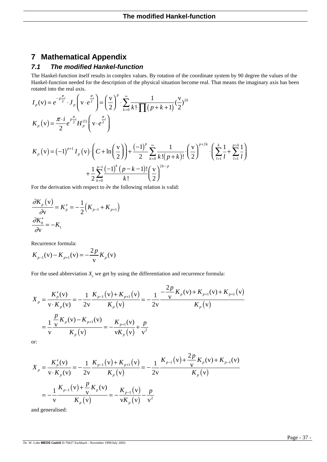## **7 Mathematical Appendix**

### *7.1 The modified Hankel-function*

The Hankel-function itself results in complex values. By rotation of the coordinate system by 90 degree the values of the Hankel-function needed for the description of the physical situation become real. That means the imaginary axis has been rotated into the real axis.

$$
I_p(\mathbf{v}) = e^{-p\frac{\pi}{2}i} \cdot J_p\left(\mathbf{v} \cdot e^{\frac{\pi}{2}i}\right) = \left(\frac{\mathbf{v}}{2}\right)^p \cdot \sum_{k=0}^{\infty} \frac{1}{k! \prod_{p} (p+k+1)} (\frac{\mathbf{v}}{2})^{2k}
$$
  
\n
$$
K_p(\mathbf{v}) = \frac{\pi \cdot i}{2} e^{\frac{\pi}{2}i} H_p^{(1)}\left(\mathbf{v} \cdot e^{\frac{\pi}{2}i}\right)
$$
  
\n
$$
K(\mathbf{v}) = (-1)^{p+1} I_{(1)}(\mathbf{v}) \cdot \left(C + \ln\left(\frac{\mathbf{v}}{2}\right)\right) + \frac{(-1)^p}{2} \sum_{k=0}^{\infty} \frac{1}{k! \prod_{p=0}^{k} (p+k+1)} \cdot \left(\frac{\mathbf{v}}{2}\right)^{p+2k} \cdot \left(\sum_{p=0}^{k} \frac{1}{k} + \sum_{p=k}^{k} \frac{1}{k!} \right)
$$

$$
K_{p}(v) = (-1)^{p+1} I_{p}(v) \cdot \left(C + \ln\left(\frac{v}{2}\right)\right) + \frac{(-1)^{p}}{2} \sum_{k=0}^{\infty} \frac{1}{k! (p+k)!} \cdot \left(\frac{v}{2}\right)^{p+2k} \cdot \left(\sum_{l=1}^{k} \frac{1}{l} + \sum_{l=1}^{p+k} \frac{1}{l}\right) + \frac{1}{2} \sum_{k=0}^{p-1} \frac{(-1)^{k} (p-k-1)!}{k!} \left(\frac{v}{2}\right)^{2k-p}
$$

For the derivation with respect to ∂v the following relation is valid:

$$
\frac{\partial K_p(\mathbf{v})}{\partial \mathbf{v}} = K_p' = -\frac{1}{2} (K_{p-1} + K_{p+1})
$$

$$
\frac{\partial K_0'}{\partial \mathbf{v}} = -K_1
$$

Recurrence formula:

$$
K_{p-1}(v) - K_{p+1}(v) = -\frac{2p}{v} K_p(v)
$$

For the used abbreviation  $X_p$  we get by using the differentiation and recurrence formula:

$$
X_{p} = \frac{K'_{p}(v)}{v \cdot K_{p}(v)} = -\frac{1}{2v} \frac{K_{p-1}(v) + K_{p+1}(v)}{K_{p}(v)} = -\frac{1}{2v} \frac{-\frac{2p}{v} K_{p}(v) + K_{p+1}(v) + K_{p+1}(v)}{K_{p}(v)}
$$

$$
= \frac{1}{v} \frac{\frac{p}{v} K_{p}(v) - K_{p+1}(v)}{K_{p}(v)} = -\frac{K_{p+1}(v)}{v K_{p}(v)} + \frac{p}{v^{2}}
$$

or:

$$
X_{p} = \frac{K'_{p}(v)}{v \cdot K_{p}(v)} = -\frac{1}{2v} \frac{K_{p-1}(v) + K_{p+1}(v)}{K_{p}(v)} = -\frac{1}{2v} \frac{K_{p-1}(v) + \frac{2p}{v} K_{p}(v) + K_{p-1}(v)}{K_{p}(v)}
$$

$$
= -\frac{1}{v} \frac{K_{p-1}(v) + \frac{p}{v} K_{p}(v)}{K_{p}(v)} = -\frac{K_{p-1}(v)}{v K_{p}(v)} - \frac{p}{v^{2}}
$$

and generalised: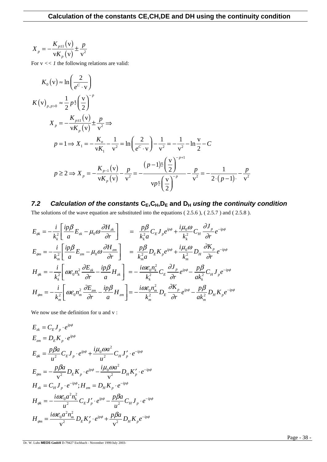$$
X_{p} = -\frac{K_{p\pm 1}(v)}{vK_{p}(v)} \pm \frac{p}{v^{2}}
$$

For  $v \ll l$  the following relations are valid:

$$
K_0(v) \approx \ln\left(\frac{2}{e^C \cdot v}\right)
$$
  
\n
$$
K(v)_{p, p>0} \approx \frac{1}{2} p! \left(\frac{v}{2}\right)^{-p}
$$
  
\n
$$
X_p = -\frac{K_{p\pm 1}(v)}{vK_p(v)} \pm \frac{p}{v^2} \Rightarrow
$$
  
\n
$$
p = 1 \Rightarrow X_1 = -\frac{K_o}{vK_1} - \frac{1}{v^2} = \ln\left(\frac{2}{e^C \cdot v}\right) - \frac{1}{v^2} = -\frac{1}{v^2} - \ln\frac{v}{2} - C
$$
  
\n
$$
p \ge 2 \Rightarrow X_p = -\frac{K_{p-1}(v)}{vK_p(v)} - \frac{p}{v^2} = -\frac{(p-1)! \left(\frac{v}{2}\right)^{-p+1}}{vp! \left(\frac{v}{2}\right)^{-p}} - \frac{p}{v^2} = -\frac{1}{2 \cdot (p-1)} - \frac{p}{v^2}
$$

# *7.2 Calculation of the constants* **CE,CH,DE and DH** *using the continuity condition*

The solutions of the wave equation are substituted into the equations [\( 2.5.6](#page-8-0) ), [\( 2.5.7](#page-8-1) ) an[d \( 2.5.8](#page-8-2) ).

$$
E_{\phi k} = -\frac{i}{k_k^2} \left[ \frac{ip\beta}{a} E_{zk} - \mu_0 \omega \frac{\partial H_{zk}}{\partial r} \right] = \frac{p\beta}{k_k^2 a} C_E J_p e^{ip\phi} + \frac{i\mu_0 \omega}{k_k^2} C_H \frac{\partial J_p}{\partial r} e^{-ip\phi}
$$
  
\n
$$
E_{\phi m} = -\frac{i}{k_m^2} \left[ \frac{ip\beta}{a} E_{zm} - \mu_0 \omega \frac{\partial H_{zm}}{\partial r} \right] = \frac{p\beta}{k_m^2 a} D_E K_p e^{ip\phi} + \frac{i\mu_0 \omega}{k_m^2} D_H \frac{\partial K_p}{\partial r} e^{-ip\phi}
$$
  
\n
$$
H_{\phi k} = -\frac{i}{k_k^2} \left[ \omega \varepsilon_0 n_k^2 \frac{\partial E_{zk}}{\partial r} - \frac{ip\beta}{a} H_{zk} \right] = -\frac{i\omega \varepsilon_0 n_k^2}{k_k^2} C_E \frac{\partial J_p}{\partial r} e^{ip\phi} - \frac{p\beta}{ak_k^2} C_H J_p e^{-ip\phi}
$$
  
\n
$$
H_{\phi m} = -\frac{i}{k_m^2} \left[ \omega \varepsilon_0 n_m^2 \frac{\partial E_{zm}}{\partial r} - \frac{ip\beta}{a} H_{zm} \right] = -\frac{i\omega \varepsilon_0 n_m^2}{k_m^2} D_E \frac{\partial K_p}{\partial r} e^{ip\phi} - \frac{p\beta}{ak_m^2} D_H K_p e^{-ip\phi}
$$

We now use the definition for u and v:

$$
E_{zk} = C_E J_p \cdot e^{ip\phi}
$$
  
\n
$$
E_{zm} = D_E K_p \cdot e^{ip\phi}
$$
  
\n
$$
E_{\phi k} = \frac{p\beta a}{u^2} C_E J_p \cdot e^{ip\phi} + \frac{i\mu_0 \omega a^2}{u^2} C_H J'_p \cdot e^{-ip\phi}
$$
  
\n
$$
E_{\phi m} = -\frac{p\beta a}{v^2} D_E K_p \cdot e^{ip\phi} - \frac{i\mu_0 \omega a^2}{v^2} D_H K'_p \cdot e^{-ip\phi}
$$
  
\n
$$
H_{zk} = C_H J_p \cdot e^{-ip\phi}; H_{zm} = D_H K_p \cdot e^{-ip\phi}
$$
  
\n
$$
H_{\phi k} = -\frac{i\omega \varepsilon_0 a^2 n_k^2}{u^2} C_E J'_p \cdot e^{ip\phi} - \frac{p\beta a}{u^2} C_H J_p \cdot e^{-ip\phi}
$$
  
\n
$$
H_{\phi m} = \frac{i\omega \varepsilon_0 a^2 n_m^2}{v^2} D_E K'_p \cdot e^{ip\phi} + \frac{p\beta a}{v^2} D_H K_p e^{-ip\phi}
$$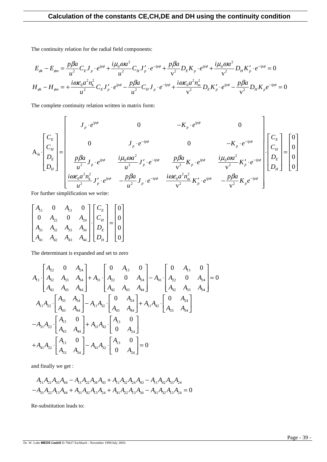The continuity relation for the radial field components:

$$
E_{\phi k} - E_{\phi m} = \frac{p\beta a}{u^2} C_E J_p \cdot e^{ip\phi} + \frac{i\mu_0 \omega a^2}{u^2} C_H J'_p \cdot e^{-ip\phi} + \frac{p\beta a}{v^2} D_E K_p \cdot e^{ip\phi} + \frac{i\mu_0 \omega a^2}{v^2} D_H K'_p \cdot e^{-ip\phi} = 0
$$
  

$$
H_{\phi k} - H_{\phi m} = +\frac{i\omega \varepsilon_0 a^2 n_k^2}{u^2} C_E J'_p \cdot e^{ip\phi} - \frac{p\beta a}{u^2} C_H J_p \cdot e^{-ip\phi} + \frac{i\omega \varepsilon_0 a^2 n_m^2}{v^2} D_E K'_p \cdot e^{ip\phi} - \frac{p\beta a}{v^2} D_H K_p e^{-ip\phi} = 0
$$

The complete continuity relation written in matrix form:

$$
A_{ik} \begin{bmatrix} C_E \\ C_H \\ D_E \\ D_H \end{bmatrix} = \begin{bmatrix} J_p \cdot e^{ip\phi} & 0 & -K_p \cdot e^{ip\phi} & 0 \\ 0 & J_p \cdot e^{-ip\phi} & 0 & -K_p \cdot e^{-ip\phi} \\ \frac{p\beta a}{u^2} J_p \cdot e^{ip\phi} & \frac{i\mu_0 \omega a^2}{u^2} J_p' \cdot e^{-ip\phi} & \frac{p\beta a}{v^2} K_p \cdot e^{ip\phi} & \frac{i\mu_0 \omega a^2}{v^2} K_p' \cdot e^{-ip\phi} \end{bmatrix} \begin{bmatrix} C_E \\ C_H \\ D_E \\ D_H \end{bmatrix} = \begin{bmatrix} 0 \\ 0 \\ 0 \\ 0 \end{bmatrix}
$$

For further simplification we write:

$$
\begin{bmatrix} A_{11} & 0 & A_{13} & 0 \ 0 & A_{22} & 0 & A_{24} \ A_{31} & A_{32} & A_{33} & A_{34} \ A_{41} & A_{42} & A_{43} & A_{44} \end{bmatrix} \cdot \begin{bmatrix} C_E \\ C_H \\ D_E \\ D_H \end{bmatrix} = \begin{bmatrix} 0 \\ 0 \\ 0 \\ 0 \end{bmatrix}
$$

The determinant is expanded and set to zero

$$
A_{11} \begin{bmatrix} A_{22} & 0 & A_{24} \ A_{32} & A_{33} & A_{34} \ A_{42} & A_{43} & A_{44} \end{bmatrix} + A_{31} \begin{bmatrix} 0 & A_{13} & 0 \ A_{22} & 0 & A_{24} \ A_{42} & A_{43} & A_{44} \end{bmatrix} - A_{41} \begin{bmatrix} 0 & A_{13} & 0 \ A_{22} & 0 & A_{24} \ A_{32} & A_{33} & A_{34} \end{bmatrix} = 0
$$
  
\n
$$
A_{11}A_{22} \begin{bmatrix} A_{33} & A_{34} \ A_{43} & A_{44} \end{bmatrix} - A_{11}A_{32} \begin{bmatrix} 0 & A_{24} \ A_{43} & A_{44} \end{bmatrix} + A_{11}A_{42} \begin{bmatrix} 0 & A_{24} \ A_{33} & A_{34} \end{bmatrix}
$$
  
\n
$$
-A_{31}A_{22} \begin{bmatrix} A_{13} & 0 \ A_{43} & A_{44} \end{bmatrix} + A_{31}A_{42} \begin{bmatrix} A_{13} & 0 \ 0 & A_{24} \end{bmatrix}
$$
  
\n
$$
+A_{41}A_{22} \begin{bmatrix} A_{13} & 0 \ A_{33} & A_{34} \end{bmatrix} - A_{41}A_{32} \begin{bmatrix} A_{13} & 0 \ 0 & A_{24} \end{bmatrix} = 0
$$

and finally we get :

$$
A_{11}A_{22}A_{33}A_{44} - A_{11}A_{22}A_{34}A_{43} + A_{11}A_{32}A_{24}A_{43} - A_{11}A_{42}A_{33}A_{24}
$$

$$
-A_{31}A_{22}A_{13}A_{44} + A_{31}A_{42}A_{13}A_{24} + A_{41}A_{22}A_{13}A_{34} - A_{41}A_{32}A_{13}A_{24} = 0
$$

Re-substitution leads to:

 $\overline{a}$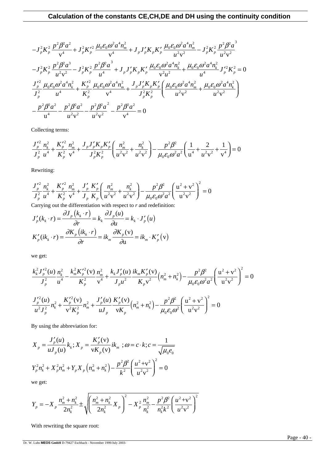$$
-J_{p}^{2}K_{p}^{2}\frac{p^{2}\beta^{2}a^{2}}{v^{4}}+J_{p}^{2}K_{p}^{'2}\frac{\mu_{0}\varepsilon_{0}\omega^{2}a^{4}n_{m}^{2}}{v^{4}}+J_{p}J_{p}^{'}K_{p}K_{p}^{'}\frac{\mu_{0}\varepsilon_{0}\omega^{2}a^{4}n_{m}^{2}}{u^{2}v^{2}}-J_{p}^{2}K_{p}^{2}\frac{p^{2}\beta^{2}a^{3}}{u^{2}v^{2}}
$$

$$
-J_{p}^{2}K_{p}^{2}\frac{p^{2}\beta^{2}a^{3}}{u^{2}v^{2}}-J_{p}^{2}K_{p}^{2}\frac{p^{2}\beta^{2}a^{3}}{u^{4}}+J_{p}J_{p}^{'}K_{p}K_{p}^{'}\frac{\mu_{0}\varepsilon_{0}\omega^{2}a^{4}n_{k}^{2}}{v^{2}u^{2}}+\frac{\mu_{0}\varepsilon_{0}\omega^{2}a^{4}n_{k}^{2}}{u^{4}}J_{p}^{'2}K_{p}^{2}=0
$$

$$
\frac{J_{p}^{'2}}{J_{p}^{2}}\frac{\mu_{0}\varepsilon_{0}\omega^{2}a^{4}n_{k}^{2}}{u^{4}}+\frac{K_{p}^{'2}}{K_{p}^{2}}\frac{\mu_{0}\varepsilon_{0}\omega^{2}a^{4}n_{m}^{2}}{v^{4}}+\frac{J_{p}J_{p}^{'}K_{p}K_{p}'}{J_{p}^{2}K_{p}^{2}}\left(\frac{\mu_{0}\varepsilon_{0}\omega^{2}a^{4}n_{m}^{2}}{u^{2}v^{2}}+\frac{\mu_{0}\varepsilon_{0}\omega^{2}a^{4}n_{k}^{2}}{u^{2}v^{2}}\right)
$$

$$
-\frac{p^{2}\beta^{2}a^{2}}{u^{4}}-\frac{p^{2}\beta^{2}a^{2}}{u^{2}v^{2}}-\frac{p^{2}\beta^{2}a^{2}}{u^{2}v^{2}}-\frac{p^{2}\beta^{2}a^{2}}{v^{4}}=0
$$

Collecting terms:

$$
\frac{J_p'^2}{J_p^2} \frac{n_k^2}{u^4} + \frac{K_p'^2}{K_p^2} \frac{n_m^2}{v^4} + \frac{J_p J_p' K_p K_p'}{J_p^2 K_p^2} \left( \frac{n_m^2}{u^2 v^2} + \frac{n_k^2}{u^2 v^2} \right) - \frac{p^2 \beta^2}{\mu_0 \varepsilon_0 \omega^2 a^2} \left( \frac{1}{u^4} + \frac{2}{u^2 v^2} + \frac{1}{v^4} \right) = 0
$$

Rewriting:

$$
\frac{J_p'^2}{J_p^2} \frac{n_k^2}{u^4} + \frac{K_p'^2}{K_p^2} \frac{n_m^2}{v^4} + \frac{J_p'}{J_p} \frac{K_p'}{K_p} \left( \frac{n_m^2}{u^2 v^2} + \frac{n_k^2}{u^2 v^2} \right) - \frac{p^2 \beta^2}{\mu_0 \varepsilon_0 \omega^2 a^2} \left( \frac{u^2 + v^2}{u^2 v^2} \right)^2 = 0
$$

Carrying out the differentiation with respect to *r* and redefinition: ∂ ∂

$$
J'_{p}(k_{k} \cdot r) = \frac{\partial J_{p}(k_{k} \cdot r)}{\partial r} = k_{k} \frac{\partial J_{p}(u)}{\partial u} = k_{k} \cdot J'_{p}(u)
$$

$$
K'_{p}(ik_{k} \cdot r) = \frac{\partial K_{p}(ik_{k} \cdot r)}{\partial r} = ik_{m} \frac{\partial K_{p}(v)}{\partial u} = ik_{m} \cdot K'_{p}(v)
$$

we get:

$$
\frac{k_{k}^{2} J_{p}^{'2}(u)}{J_{p}^{2}} \frac{n_{k}^{2}}{u^{4}} - \frac{k_{m}^{2} K_{p}^{'2}(v)}{K_{p}^{2}} \frac{n_{m}^{2}}{v^{4}} + \frac{k_{k} J_{p}^{'}(u)}{J_{p} u^{2}} \frac{i k_{m} K_{p}^{'}(v)}{K_{p} v^{2}} \left(n_{m}^{2} + n_{k}^{2}\right) - \frac{p^{2} \beta^{2}}{\mu_{0} \varepsilon_{0} \omega^{2} a^{2}} \left(\frac{u^{2} + v^{2}}{u^{2} v^{2}}\right)^{2} = 0
$$
  

$$
\frac{J_{p}^{'2}(u)}{u^{2} J_{p}^{2}} n_{k}^{2} + \frac{K_{p}^{'2}(v)}{v^{2} K_{p}^{2}} n_{m}^{2} + \frac{J_{p}^{'}(u)}{u J_{p}} \frac{K_{p}^{'}(v)}{v K_{p}} \left(n_{m}^{2} + n_{k}^{2}\right) - \frac{p^{2} \beta^{2}}{\mu_{0} \varepsilon_{0} \omega^{2}} \left(\frac{u^{2} + v^{2}}{u^{2} v^{2}}\right)^{2} = 0
$$

By using the abbreviation for:

$$
X_{p} = \frac{J'_{p}(u)}{uJ_{p}(u)} k_{k} ; X_{p} = \frac{K'_{p}(v)}{vK_{p}(v)} ik_{m} ; \omega = c \cdot k; c = \frac{1}{\sqrt{\mu_{0}e_{0}}}
$$
  

$$
Y_{p}^{2}n_{k}^{2} + X_{p}^{2}n_{m}^{2} + Y_{p}X_{p}(n_{m}^{2} + n_{k}^{2}) - \frac{p^{2} \beta^{2}}{k^{2}} \left(\frac{u^{2} + v^{2}}{u^{2}v^{2}}\right)^{2} = 0
$$

we get:

$$
Y_p = -X_p \frac{n_m^2 + n_k^2}{2n_k^2} \pm \sqrt{\left(\frac{n_m^2 + n_k^2}{2n_k^2} X_p\right)^2 - X_p^2 \frac{n_m^2}{n_k^2} - \frac{p^2 \beta^2}{n_k^2 k^2} \left(\frac{u^2 + v^2}{u^2 v^2}\right)^2}
$$

With rewriting the square root: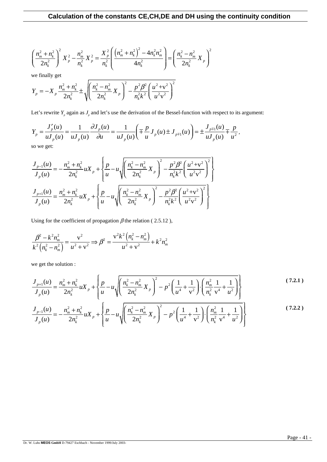$$
\left(\frac{n_m^2 + n_k^2}{2n_k^2}\right)^2 X_p^2 - \frac{n_m^2}{n_k^2} X_p^2 = \frac{X_p^2}{n_k^2} \left(\frac{\left(n_m^2 + n_k^2\right)^2 - 4n_k^2 n_m^2}{4n_k^2}\right) = \left(\frac{n_k^2 - n_m^2}{2n_k^2} X_p\right)^2
$$

we finally get

$$
Y_p = -X_p \frac{n_m^2 + n_k^2}{2n_k^2} \pm \sqrt{\left(\frac{n_k^2 - n_m^2}{2n_k^2} X_p\right)^2 - \frac{p^2 \beta^2}{n_k^2 k^2} \left(\frac{u^2 + v^2}{u^2 v^2}\right)^2}
$$

Let's rewrite  $Y_p$  again as  $J_p$  and let's use the derivation of the Bessel-function with respect to its argument:

$$
Y_{p} = \frac{J'_{p}(u)}{u J_{p}(u)} = \frac{1}{u J_{p}(u)} \frac{\partial J_{p}(u)}{\partial u} = \frac{1}{u J_{p}(u)} \left( \mp \frac{p}{u} J_{p}(u) \pm J_{p+1}(u) \right) = \pm \frac{J_{p+1}(u)}{u J_{p}(u)} \mp \frac{p}{u^{2}},
$$

so we get:

$$
\frac{J_{p-1}(u)}{J_p(u)} = -\frac{n_m^2 + n_k^2}{2n_k^2} uX_p + \left\{ \frac{p}{u} - u \sqrt{\left(\frac{n_k^2 - n_m^2}{2n_k^2} X_p\right)^2 - \frac{p^2 \beta^2}{n_k^2 k^2} \left(\frac{u^2 + v^2}{u^2 v^2}\right)^2} \right\}
$$
\n
$$
\frac{J_{p+1}(u)}{J_p(u)} = \frac{n_m^2 + n_k^2}{2n_k^2} uX_p + \left\{ \frac{p}{u} - u \sqrt{\left(\frac{n_k^2 - n_m^2}{2n_k^2} X_p\right)^2 - \frac{p^2 \beta^2}{n_k^2 k^2} \left(\frac{u^2 + v^2}{u^2 v^2}\right)^2} \right\}
$$

Using for the coefficient of propagation  $\beta$  the relation (2.5.12),

$$
\frac{\beta^2 - k^2 n_m^2}{k^2 (n_k^2 - n_m^2)} = \frac{v^2}{u^2 + v^2} \Rightarrow \beta^2 = \frac{v^2 k^2 (n_k^2 - n_m^2)}{u^2 + v^2} + k^2 n_m^2
$$

we get the solution :

$$
\frac{J_{p+1}(u)}{J_p(u)} = \frac{n_m^2 + n_k^2}{2n_k^2} u X_p + \left\{ \frac{p}{u} - u \sqrt{\left(\frac{n_k^2 - n_m^2}{2n_k^2} X_p\right)^2 - p^2 \left(\frac{1}{u^4} + \frac{1}{v^2}\right) \cdot \left(\frac{n_m^2}{n_k^2} \frac{1}{v^4} + \frac{1}{u^2}\right)} \right\}
$$
(7.2.1)

$$
\frac{J_{p-1}(u)}{J_p(u)} = -\frac{n_m^2 + n_k^2}{2n_k^2} uX_p + \left\{ \frac{p}{u} - u \sqrt{\left(\frac{n_k^2 - n_m^2}{2n_k^2} X_p\right)^2 - p^2 \left(\frac{1}{u^4} + \frac{1}{v^2}\right) \cdot \left(\frac{n_m^2}{n_k^2} \frac{1}{v^4} + \frac{1}{u^2}\right)} \right\}
$$
(7.2.2)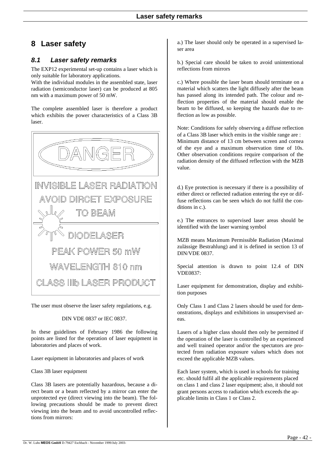# **8 Laser safety**

### *8.1 Laser safety remarks*

The EXP12 experimental set-up contains a laser which is only suitable for laboratory applications.

With the individual modules in the assembled state, laser radiation (semiconductor laser) can be produced at 805 nm with a maximum power of 50 mW.

The complete assembled laser is therefore a product which exhibits the power characteristics of a Class 3B laser.



The user must observe the laser safety regulations, e.g.

#### DIN VDE 0837 or IEC 0837.

In these guidelines of February 1986 the following points are listed for the operation of laser equipment in laboratories and places of work.

Laser equipment in laboratories and places of work

Class 3B laser equipment

Class 3B lasers are potentially hazardous, because a direct beam or a beam reflected by a mirror can enter the unprotected eye (direct viewing into the beam). The following precautions should be made to prevent direct viewing into the beam and to avoid uncontrolled reflections from mirrors:

a.) The laser should only be operated in a supervised laser area

b.) Special care should be taken to avoid unintentional reflections from mirrors

c.) Where possible the laser beam should terminate on a material which scatters the light diffusely after the beam has passed along its intended path. The colour and reflection properties of the material should enable the beam to be diffused, so keeping the hazards due to reflection as low as possible.

Note: Conditions for safely observing a diffuse reflection of a Class 3B laser which emits in the visible range are : Minimum distance of 13 cm between screen and cornea of the eye and a maximum observation time of 10s. Other observation conditions require comparison of the radiation density of the diffused reflection with the MZB value.

d.) Eye protection is necessary if there is a possibility of either direct or reflected radiation entering the eye or diffuse reflections can be seen which do not fulfil the conditions in c.).

e.) The entrances to supervised laser areas should be identified with the laser warning symbol

MZB means Maximum Permissible Radiation (Maximal zulässige Bestrahlung) and it is defined in section 13 of DIN/VDE 0837.

Special attention is drawn to point 12.4 of DIN VDE0837:

Laser equipment for demonstration, display and exhibition purposes

Only Class 1 and Class 2 lasers should be used for demonstrations, displays and exhibitions in unsupervised areas.

Lasers of a higher class should then only be permitted if the operation of the laser is controlled by an experienced and well trained operator and/or the spectators are protected from radiation exposure values which does not exceed the applicable MZB values.

Each laser system, which is used in schools for training etc. should fulfil all the applicable requirements placed on class 1 and class 2 laser equipment; also, it should not grant persons access to radiation which exceeds the applicable limits in Class 1 or Class 2.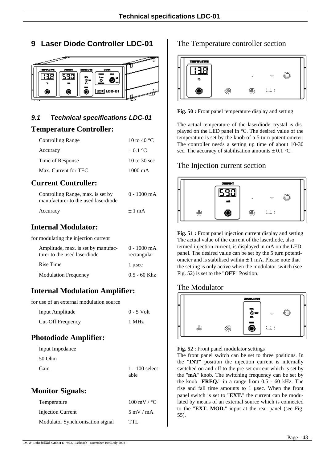**9 Laser Diode Controller LDC-01**



## *9.1 Technical specifications LDC-01*

## **Temperature Controller:**

| <b>Controlling Range</b> | 10 to 40 $^{\circ}$ C |
|--------------------------|-----------------------|
| Accuracy                 | $\pm 0.1$ °C          |
| Time of Response         | 10 to $30$ sec        |
| Max. Current for TEC     | $1000 \text{ mA}$     |

## **Current Controller:**

| Controlling Range, max. is set by   | 0 - 1000 mA |
|-------------------------------------|-------------|
| manufacturer to the used laserdiode |             |
| Accuracy                            | $+1$ mA     |

# **Internal Modulator:**

for modulating the injection current

| Amplitude, max. is set by manufac-<br>turer to the used laserdiode | $0 - 1000$ mA<br>rectangular |
|--------------------------------------------------------------------|------------------------------|
| Rise Time                                                          | 1 usec                       |
| <b>Modulation Frequency</b>                                        | $0.5 - 60$ Khz               |

# **Internal Modulation Amplifier:**

for use of an external modulation source

| Input Amplitude          | $0 - 5$ Volt |
|--------------------------|--------------|
| <b>Cut-Off Frequency</b> | 1 MHz        |

# **Photodiode Amplifier:**

| Input Impedance |                           |
|-----------------|---------------------------|
| 50 Ohm          |                           |
| Gain            | $1 - 100$ select-<br>able |

## **Monitor Signals:**

| Temperature                      | $100 \text{ mV} / {}^{\circ}C$ |
|----------------------------------|--------------------------------|
| Injection Current                | $5 \text{ mV}$ / mA            |
| Modulator Synchronisation signal | TTL.                           |

## The Temperature controller section



**Fig. 50 :** Front panel temperature display and setting

The actual temperature of the laserdiode crystal is displayed on the LED panel in °C. The desired value of the temperature is set by the knob of a 5 turn potentiometer. The controller needs a setting up time of about 10-30 sec. The accuracy of stabilisation amounts  $\pm$  0.1 °C.

## The Injection current section



**Fig. 51 :** Front panel injection current display and setting The actual value of the current of the laserdiode, also termed injection current, is displayed in mA on the LED panel. The desired value can be set by the 5 turn potentiometer and is stabilised within  $\pm 1$  mA. Please note that the setting is only active when the modulator switch (see Fig. 52) is set to the "**OFF**" Position.

## The Modulator



**Fig. 52** : Front panel modulator settings

The front panel switch can be set to three positions. In the "**INT**" position the injection current is internally switched on and off to the pre-set current which is set by the "**mA**" knob. The switching frequency can be set by the knob "**FREQ.**" in a range from 0.5 - 60 kHz. The rise and fall time amounts to 1 µsec. When the front panel switch is set to "**EXT.**" the current can be modulated by means of an external source which is connected to the "**EXT. MOD.**" input at the rear panel (see Fig. 55).